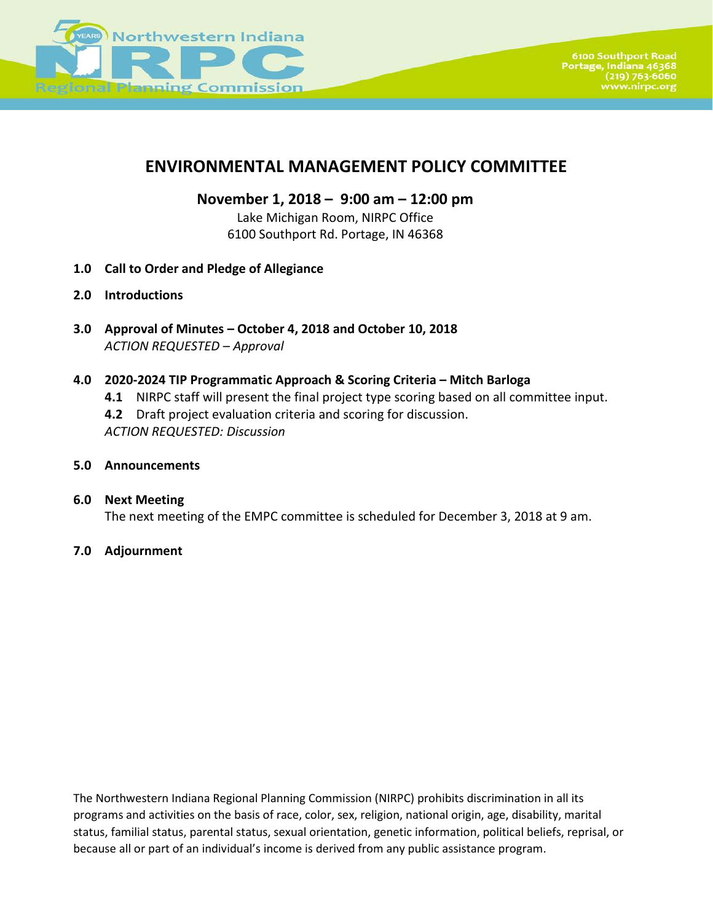

#### **ENVIRONMENTAL MANAGEMENT POLICY COMMITTEE**

**November 1, 2018 – 9:00 am – 12:00 pm**

Lake Michigan Room, NIRPC Office 6100 Southport Rd. Portage, IN 46368

- **1.0 Call to Order and Pledge of Allegiance**
- **2.0 Introductions**
- **3.0 Approval of Minutes – October 4, 2018 and October 10, 2018** *ACTION REQUESTED – Approval*

#### **4.0 2020-2024 TIP Programmatic Approach & Scoring Criteria – Mitch Barloga**

- **4.1** NIRPC staff will present the final project type scoring based on all committee input.
- **4.2** Draft project evaluation criteria and scoring for discussion.

*ACTION REQUESTED: Discussion*

- **5.0 Announcements**
- **6.0 Next Meeting**  The next meeting of the EMPC committee is scheduled for December 3, 2018 at 9 am.
- **7.0 Adjournment**

The Northwestern Indiana Regional Planning Commission (NIRPC) prohibits discrimination in all its programs and activities on the basis of race, color, sex, religion, national origin, age, disability, marital status, familial status, parental status, sexual orientation, genetic information, political beliefs, reprisal, or because all or part of an individual's income is derived from any public assistance program.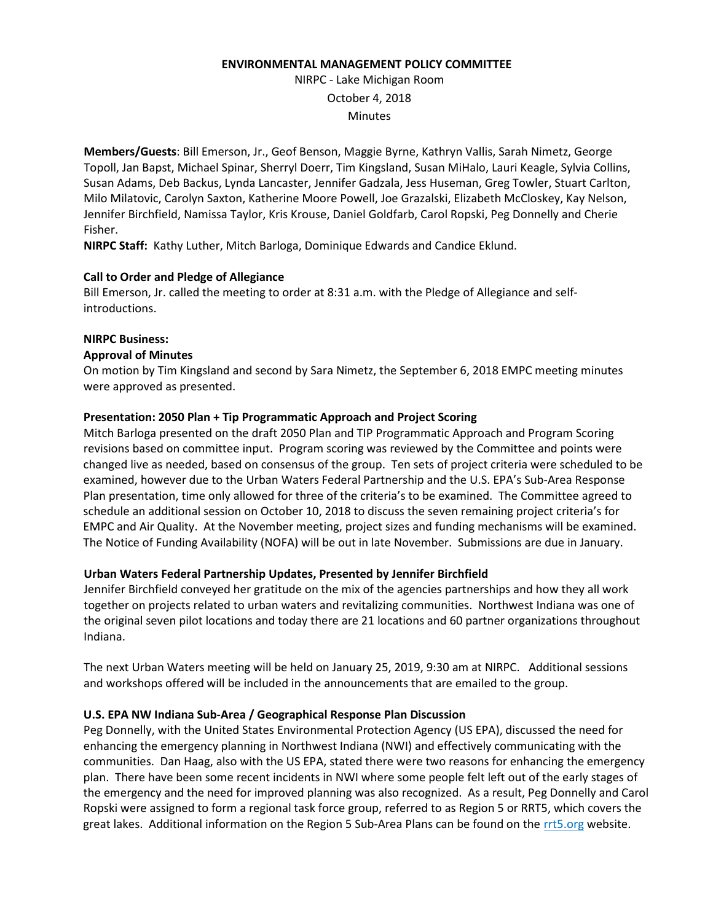#### **ENVIRONMENTAL MANAGEMENT POLICY COMMITTEE**

NIRPC - Lake Michigan Room October 4, 2018 **Minutes** 

**Members/Guests**: Bill Emerson, Jr., Geof Benson, Maggie Byrne, Kathryn Vallis, Sarah Nimetz, George Topoll, Jan Bapst, Michael Spinar, Sherryl Doerr, Tim Kingsland, Susan MiHalo, Lauri Keagle, Sylvia Collins, Susan Adams, Deb Backus, Lynda Lancaster, Jennifer Gadzala, Jess Huseman, Greg Towler, Stuart Carlton, Milo Milatovic, Carolyn Saxton, Katherine Moore Powell, Joe Grazalski, Elizabeth McCloskey, Kay Nelson, Jennifer Birchfield, Namissa Taylor, Kris Krouse, Daniel Goldfarb, Carol Ropski, Peg Donnelly and Cherie Fisher.

**NIRPC Staff:** Kathy Luther, Mitch Barloga, Dominique Edwards and Candice Eklund.

#### **Call to Order and Pledge of Allegiance**

Bill Emerson, Jr. called the meeting to order at 8:31 a.m. with the Pledge of Allegiance and selfintroductions.

#### **NIRPC Business:**

#### **Approval of Minutes**

On motion by Tim Kingsland and second by Sara Nimetz, the September 6, 2018 EMPC meeting minutes were approved as presented.

#### **Presentation: 2050 Plan + Tip Programmatic Approach and Project Scoring**

Mitch Barloga presented on the draft 2050 Plan and TIP Programmatic Approach and Program Scoring revisions based on committee input. Program scoring was reviewed by the Committee and points were changed live as needed, based on consensus of the group. Ten sets of project criteria were scheduled to be examined, however due to the Urban Waters Federal Partnership and the U.S. EPA's Sub-Area Response Plan presentation, time only allowed for three of the criteria's to be examined. The Committee agreed to schedule an additional session on October 10, 2018 to discuss the seven remaining project criteria's for EMPC and Air Quality. At the November meeting, project sizes and funding mechanisms will be examined. The Notice of Funding Availability (NOFA) will be out in late November. Submissions are due in January.

#### **Urban Waters Federal Partnership Updates, Presented by Jennifer Birchfield**

Jennifer Birchfield conveyed her gratitude on the mix of the agencies partnerships and how they all work together on projects related to urban waters and revitalizing communities. Northwest Indiana was one of the original seven pilot locations and today there are 21 locations and 60 partner organizations throughout Indiana.

The next Urban Waters meeting will be held on January 25, 2019, 9:30 am at NIRPC. Additional sessions and workshops offered will be included in the announcements that are emailed to the group.

#### **U.S. EPA NW Indiana Sub-Area / Geographical Response Plan Discussion**

Peg Donnelly, with the United States Environmental Protection Agency (US EPA), discussed the need for enhancing the emergency planning in Northwest Indiana (NWI) and effectively communicating with the communities. Dan Haag, also with the US EPA, stated there were two reasons for enhancing the emergency plan. There have been some recent incidents in NWI where some people felt left out of the early stages of the emergency and the need for improved planning was also recognized. As a result, Peg Donnelly and Carol Ropski were assigned to form a regional task force group, referred to as Region 5 or RRT5, which covers the great lakes. Additional information on the Region 5 Sub-Area Plans can be found on the rrt5.org website.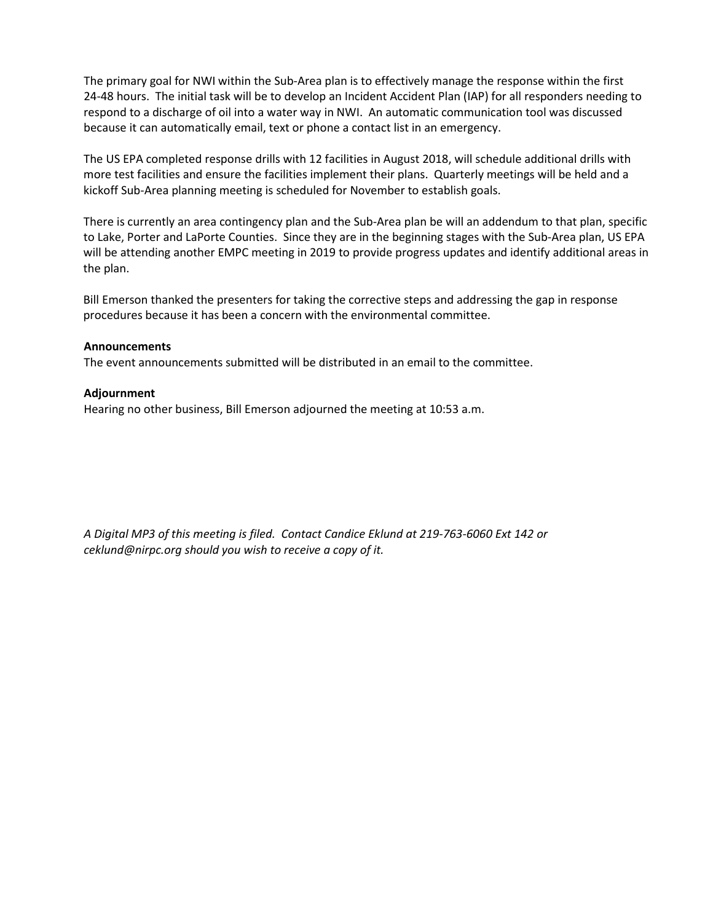The primary goal for NWI within the Sub-Area plan is to effectively manage the response within the first 24-48 hours. The initial task will be to develop an Incident Accident Plan (IAP) for all responders needing to respond to a discharge of oil into a water way in NWI. An automatic communication tool was discussed because it can automatically email, text or phone a contact list in an emergency.

The US EPA completed response drills with 12 facilities in August 2018, will schedule additional drills with more test facilities and ensure the facilities implement their plans. Quarterly meetings will be held and a kickoff Sub-Area planning meeting is scheduled for November to establish goals.

There is currently an area contingency plan and the Sub-Area plan be will an addendum to that plan, specific to Lake, Porter and LaPorte Counties. Since they are in the beginning stages with the Sub-Area plan, US EPA will be attending another EMPC meeting in 2019 to provide progress updates and identify additional areas in the plan.

Bill Emerson thanked the presenters for taking the corrective steps and addressing the gap in response procedures because it has been a concern with the environmental committee.

#### **Announcements**

The event announcements submitted will be distributed in an email to the committee.

#### **Adjournment**

Hearing no other business, Bill Emerson adjourned the meeting at 10:53 a.m.

*A Digital MP3 of this meeting is filed. Contact Candice Eklund at 219-763-6060 Ext 142 or ceklund@nirpc.org should you wish to receive a copy of it.*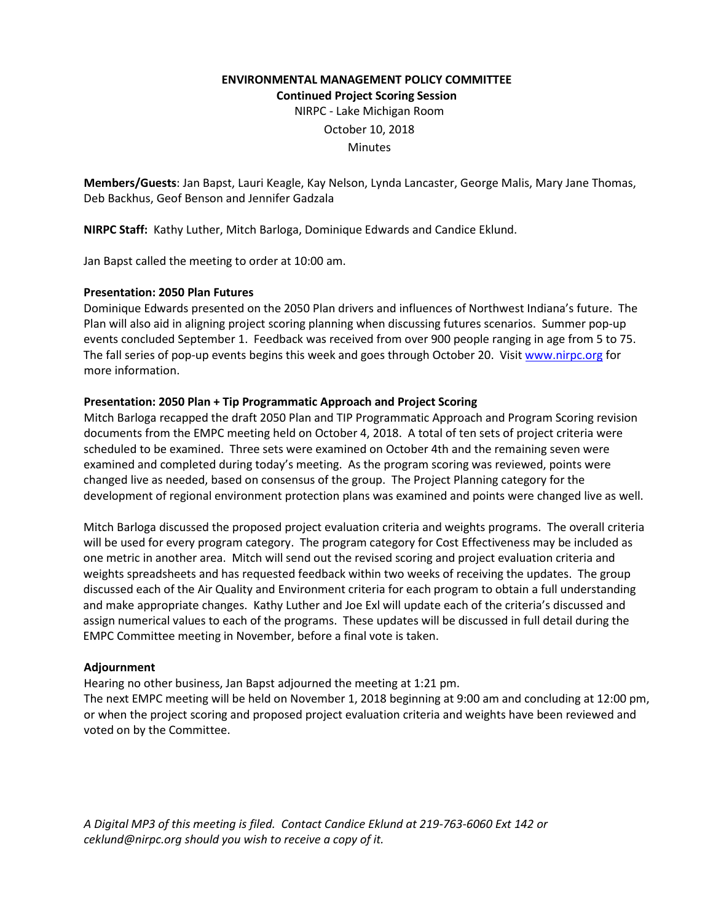#### **ENVIRONMENTAL MANAGEMENT POLICY COMMITTEE Continued Project Scoring Session**

NIRPC - Lake Michigan Room

October 10, 2018

Minutes

**Members/Guests**: Jan Bapst, Lauri Keagle, Kay Nelson, Lynda Lancaster, George Malis, Mary Jane Thomas, Deb Backhus, Geof Benson and Jennifer Gadzala

**NIRPC Staff:** Kathy Luther, Mitch Barloga, Dominique Edwards and Candice Eklund.

Jan Bapst called the meeting to order at 10:00 am.

#### **Presentation: 2050 Plan Futures**

Dominique Edwards presented on the 2050 Plan drivers and influences of Northwest Indiana's future. The Plan will also aid in aligning project scoring planning when discussing futures scenarios. Summer pop-up events concluded September 1. Feedback was received from over 900 people ranging in age from 5 to 75. The fall series of pop-up events begins this week and goes through October 20. Visit [www.nirpc.org](http://www.nirpc.org/) for more information.

#### **Presentation: 2050 Plan + Tip Programmatic Approach and Project Scoring**

Mitch Barloga recapped the draft 2050 Plan and TIP Programmatic Approach and Program Scoring revision documents from the EMPC meeting held on October 4, 2018. A total of ten sets of project criteria were scheduled to be examined. Three sets were examined on October 4th and the remaining seven were examined and completed during today's meeting. As the program scoring was reviewed, points were changed live as needed, based on consensus of the group. The Project Planning category for the development of regional environment protection plans was examined and points were changed live as well.

Mitch Barloga discussed the proposed project evaluation criteria and weights programs. The overall criteria will be used for every program category. The program category for Cost Effectiveness may be included as one metric in another area. Mitch will send out the revised scoring and project evaluation criteria and weights spreadsheets and has requested feedback within two weeks of receiving the updates. The group discussed each of the Air Quality and Environment criteria for each program to obtain a full understanding and make appropriate changes. Kathy Luther and Joe Exl will update each of the criteria's discussed and assign numerical values to each of the programs. These updates will be discussed in full detail during the EMPC Committee meeting in November, before a final vote is taken.

#### **Adjournment**

Hearing no other business, Jan Bapst adjourned the meeting at 1:21 pm.

The next EMPC meeting will be held on November 1, 2018 beginning at 9:00 am and concluding at 12:00 pm, or when the project scoring and proposed project evaluation criteria and weights have been reviewed and voted on by the Committee.

*A Digital MP3 of this meeting is filed. Contact Candice Eklund at 219-763-6060 Ext 142 or ceklund@nirpc.org should you wish to receive a copy of it.*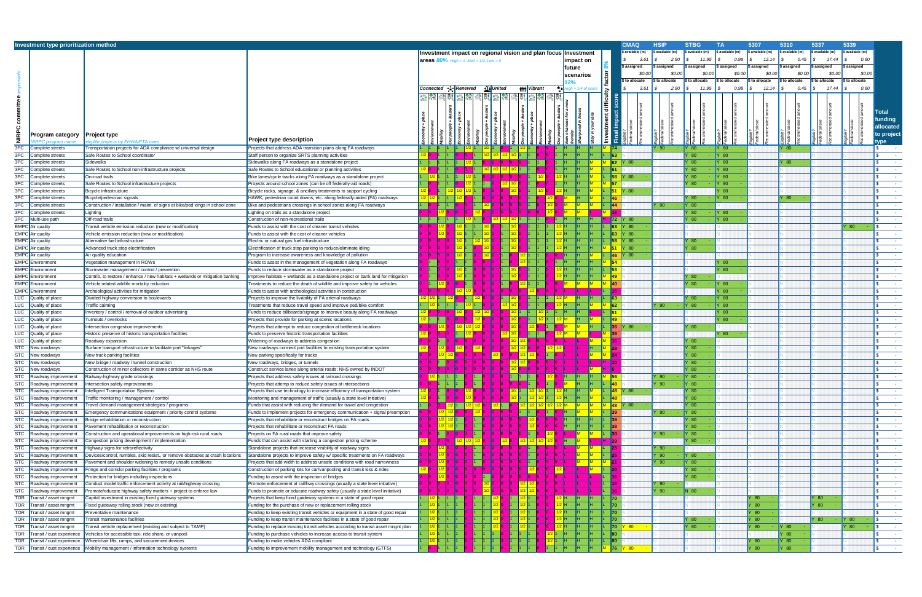|              | Investment type prioritization method      |                                                                                |                                                                                    |                                               |               |                                |                    |                                                                |                      |                                |                    |                       | <b>CMAQ</b>       | <b>HSIP</b>     | <b>STBG</b>     | <b>TA</b>        | 5307             | 5310                      | 5337                       | 5339             |                                 |
|--------------|--------------------------------------------|--------------------------------------------------------------------------------|------------------------------------------------------------------------------------|-----------------------------------------------|---------------|--------------------------------|--------------------|----------------------------------------------------------------|----------------------|--------------------------------|--------------------|-----------------------|-------------------|-----------------|-----------------|------------------|------------------|---------------------------|----------------------------|------------------|---------------------------------|
|              |                                            |                                                                                |                                                                                    |                                               |               |                                |                    | Investment impact on regional vision and plan focus Investment |                      |                                |                    |                       | available (m)     | ; available (m) | s available (m) | \$ available (m) | \$ available (m) | \$ available (m)          | \$ available (m)           | \$ available (m) |                                 |
|              |                                            |                                                                                |                                                                                    | <b>areas 80%</b> High = 1, Med = 1/2, Low = 0 |               |                                |                    |                                                                |                      |                                | ımpact on          |                       | 3.61              | 2.90            | 11.95           | 0.98             | 12.14            | 0.45                      | 17.44                      | 0.60             |                                 |
|              |                                            |                                                                                |                                                                                    |                                               |               |                                |                    |                                                                |                      |                                | future             |                       | \$ assigned       | \$ assigned     | assigned        | \$ assigned      | \$ assigned      | assigned ا                | \$ assigned                | \$ assigned      |                                 |
|              |                                            |                                                                                |                                                                                    |                                               |               |                                |                    |                                                                |                      |                                | scenarios          |                       | \$0.00            | \$0.00          | \$0.00          | \$0.00           | \$0.00           | \$0.00                    | \$0.00                     | \$0.00           |                                 |
|              |                                            |                                                                                |                                                                                    |                                               |               |                                |                    |                                                                |                      |                                |                    |                       | to allocate       | \$ to allocate  | i to allocate   | \$ to allocate   | \$ to allocate   | $\mathfrak s$ to allocate | \$ to allocate             | \$ to allocate   |                                 |
|              |                                            |                                                                                |                                                                                    | Connected ∙—i Renewed                         |               |                                | <u>tI</u> ≱∥United |                                                                | <b>\\\\\</b> Vibrant |                                | $gh = 1/4$ of scol |                       | 3.61              | 2.90            | 11.95           | 0.98             | 12.14            |                           | 17.44                      | 0.60             |                                 |
|              |                                            |                                                                                |                                                                                    |                                               |               |                                |                    | 궒 <sup>컱</sup> 쥙ӹ嘉 <sup>컱</sup> 쥙ӹ홂 <sup>좮</sup> 青韩궕쳁新         |                      |                                |                    |                       |                   |                 |                 |                  |                  |                           |                            |                  |                                 |
|              |                                            |                                                                                |                                                                                    |                                               |               |                                |                    |                                                                |                      |                                |                    |                       |                   |                 |                 |                  |                  |                           |                            |                  |                                 |
| committ      |                                            |                                                                                |                                                                                    |                                               |               |                                |                    |                                                                |                      |                                |                    |                       |                   |                 |                 |                  |                  |                           |                            |                  |                                 |
|              |                                            |                                                                                |                                                                                    |                                               |               |                                |                    |                                                                |                      |                                |                    |                       |                   |                 |                 |                  |                  |                           |                            |                  | Total                           |
|              |                                            |                                                                                |                                                                                    |                                               |               |                                |                    |                                                                |                      |                                |                    |                       |                   |                 |                 |                  |                  |                           |                            |                  | iunding                         |
|              |                                            |                                                                                |                                                                                    |                                               |               |                                |                    |                                                                |                      |                                |                    |                       |                   |                 |                 |                  |                  |                           |                            |                  | allocated                       |
| <b>NIRPC</b> | Program category                           | Project type                                                                   |                                                                                    |                                               |               |                                |                    |                                                                |                      |                                |                    |                       |                   |                 |                 |                  |                  |                           |                            |                  | to project                      |
|              |                                            | gible projects by FHWA/FTA rules                                               | Project type description                                                           |                                               |               |                                |                    |                                                                |                      |                                |                    |                       |                   |                 |                 |                  |                  |                           |                            |                  | ype                             |
| 3PC          | Complete streets                           | ransportation projects for ADA compliance w/ universal design                  | Projects that address ADA transition plans along FA roadways                       |                                               |               |                                |                    |                                                                |                      |                                |                    | II74                  |                   | Y 90            | Y 80            | <b>IY 80</b>     |                  | 80                        |                            |                  |                                 |
| 3PC          | Complete streets                           | Safe Routes to School coordinator                                              | Staff person to organize SRTS planning activities                                  |                                               |               |                                |                    |                                                                |                      |                                |                    | I63                   |                   |                 | $'$ 80          | $\vert$ Y 80     |                  |                           |                            |                  | $\sim$ $-$                      |
| 3PC          | complete streets'                          | Sidewalks                                                                      | Sidewalks along FA roadways as a standalone project                                |                                               |               |                                |                    |                                                                |                      |                                |                    | 62                    | Y 80              |                 | 80 <sup>°</sup> | $\mathsf{Y}$ 80  |                  | 80                        |                            |                  | $\sim$ $-$                      |
| 3PC          | complete streets                           | Safe Routes to School non-infrastructure projects                              | Safe Routes to School educational or planning activities                           |                                               |               |                                |                    |                                                                |                      |                                |                    |                       |                   |                 | - 80            | $\vert$ Y 80     |                  |                           |                            |                  | $\sim$                          |
| 3PC          | Complete streets                           | On-road trails                                                                 | Bike lanes/cycle tracks along FA roadways as a standalone project                  |                                               |               |                                |                    |                                                                |                      |                                |                    | 58                    | $^{\circ}$ 80     |                 | $'$ 80          | <b>Y</b> 80      |                  |                           |                            |                  | $\sim$ $\sim$                   |
| 3PC          | Complete streets                           | Safe Routes to School infrastructure projects                                  | Projects around school zones (can be off federally-aid roads)                      |                                               |               |                                |                    |                                                                |                      |                                |                    | 157                   |                   |                 | $'$ 80          | $\vert$ Y 80     |                  |                           |                            |                  | $\sim$ $ \sim$                  |
| 3PC          | Complete streets                           | Bicycle infrastructure                                                         | Bicycle racks, signage, & ancillary treatments to support cycling                  |                                               |               |                                |                    |                                                                |                      |                                |                    |                       | IY 80             |                 |                 | $^{\prime}$ 80   |                  |                           |                            |                  | $\sim$                          |
| 3PC          | Complete streets                           | Bicycle/pedestrian signals                                                     | HAWK, pedestrian count downs, etc. along federally-aided (FA) roadways             |                                               |               |                                |                    |                                                                |                      |                                |                    |                       |                   |                 | $^{\prime}$ 80  | Y 80             |                  | $^{\prime}$ 80            |                            |                  | $\sim$ $\sim$                   |
| 3PC          | Complete streets                           | Construction / installation / maint. of signs at bike/ped xings in school zone | Bike and pedestrians crossings in school zones along FA roadways                   |                                               |               |                                |                    |                                                                |                      |                                |                    |                       |                   | $Y$ 90          | <b>Y</b> 80     |                  |                  |                           |                            |                  | $\sim$                          |
| 3PC          | Complete streets                           | Lighting                                                                       | Lighting on trails as a standalone project                                         |                                               |               |                                |                    |                                                                |                      |                                |                    |                       |                   |                 | 80              | Y 80             |                  |                           |                            |                  | $\sim$ $-$                      |
| 3PC          | Multi-use path                             | Off-road trails                                                                | Construction of non-recreational trails                                            |                                               |               |                                |                    |                                                                |                      |                                |                    | 72                    | IY 80             |                 | 80 <sub>o</sub> | $\vert$ Y 80     |                  |                           |                            |                  | <b>Contract Contract</b>        |
|              | <b>EMPC</b> Air quality                    |                                                                                |                                                                                    |                                               |               |                                |                    |                                                                |                      |                                |                    | $\vert$ 63            | Y 80              |                 |                 |                  |                  |                           |                            | Y 80             | $\sim 10^{-10}$                 |
|              | EMPC Air quality                           | Fransit vehicle emission reduction (new or modification)                       | Funds to assist with the cost of cleaner transit vehicles                          |                                               |               |                                |                    |                                                                |                      |                                |                    | 63                    | Y 80              |                 |                 |                  |                  |                           |                            |                  | $\sim$ $ \sim$                  |
|              | <b>EMPC</b> Air quality                    | /ehicle emission reduction (new or modification)                               | Funds to assist with the cost of cleaner vehicles                                  |                                               |               |                                |                    |                                                                |                      |                                |                    | <b>FR</b>             | $'$ 80            |                 | $^{\prime}$ 80  |                  |                  |                           |                            |                  |                                 |
|              |                                            | Alternative fuel infrastructure                                                | Electric or natural gas fuel infrastructure                                        |                                               |               |                                |                    |                                                                |                      |                                |                    |                       |                   |                 |                 |                  |                  |                           |                            |                  | $\sim$ $ \sim$                  |
|              | <b>EMPC</b> Air quality                    | Advanced truck stop electrification                                            | Electrification of truck stop parking to reduce/eliminate idling                   |                                               |               |                                |                    |                                                                |                      |                                |                    | 51                    | Y 80              |                 | 80 <sub>1</sub> |                  |                  |                           |                            |                  | $\sim$                          |
|              | <b>EMPC</b> Air quality                    | Air quality education                                                          | Program to increase awareness and knowledge of pollution                           |                                               |               |                                |                    |                                                                |                      |                                |                    | <b>46</b>             | 80                |                 |                 |                  |                  |                           |                            |                  | $\sim$ $-$                      |
| <b>EMPC</b>  | Environment                                | /egetation management in ROWs                                                  | Funds to assist in the management of vegetation along FA roadways                  |                                               |               |                                |                    |                                                                |                      |                                |                    | 54                    |                   |                 |                 | 80               |                  |                           |                            |                  | $\sim$ $ \sim$                  |
|              | <b>EMPC</b> Environment                    | Stormwater management / control / prevention                                   | Funds to reduce stormwater as a standalone project                                 |                                               |               |                                |                    |                                                                |                      |                                |                    | $\sqrt{53}$           |                   |                 |                 | 80               |                  |                           |                            |                  | <b>Contract Contract</b>        |
| EMPC         | Environment                                | Contrib. to restore / enhance / new habitats + wetlands or mitigation banking  | Improve habitats + wetlands as a standalone project or bank land for mitigation    |                                               |               |                                |                    |                                                                |                      |                                |                    | $\vert$ 49            |                   |                 | Y 80            |                  |                  |                           |                            |                  | $\sim$ $-$                      |
| <b>EMPC</b>  | Environment                                | /ehicle related wildlife mortality reduction                                   | Freatments to reduce the death of wildlife and improve safety for vehicles         |                                               |               |                                |                    |                                                                |                      |                                |                    | $ 40\rangle$          |                   |                 | 80 <sup>°</sup> | Y 80             |                  |                           |                            |                  | $\sim$ $-$                      |
| <b>EMPC</b>  | Environment                                | Archeological activities for mitigation                                        | Funds to assist with archeological activities in construction                      |                                               |               |                                |                    |                                                                |                      |                                |                    |                       |                   |                 |                 | $'$ 80           |                  |                           |                            |                  | $\sim$ $-$                      |
| LUC          | Quality of place                           | Divided highway conversion to boulevards                                       | Projects to improve the livability of FA arterial roadways                         |                                               |               |                                |                    |                                                                |                      |                                |                    | 63                    |                   |                 | $'$ 80          | $\mathsf{Y}$ 80  |                  |                           |                            |                  | $\sim$ $-$                      |
| LUC          | Quality of place                           | ⊺raffic calming                                                                | Freatments that reduce travel speed and improve ped/bike comfort                   |                                               |               |                                |                    |                                                                |                      |                                |                    | 62                    |                   | Y 90            | Y80             | $\vert$ Y 80     |                  |                           |                            |                  | $\sim$ $ \sim$                  |
| LUC          | Quality of place                           | nventory / control / removal of outdoor advertising                            | Funds to reduce billboards/signage to improve beauty along FA roadways             |                                               |               |                                |                    |                                                                |                      |                                |                    |                       |                   |                 |                 | $'$ 80           |                  |                           |                            |                  | $\sim$ $ \sim$                  |
|              | LUC Quality of place                       | urnouts / overlooks                                                            | Projects that provide for parking at scenic locations                              |                                               |               |                                |                    |                                                                |                      |                                |                    | $\vert$ 49            |                   |                 |                 | $^{\prime}$ 80   |                  |                           |                            |                  | $\sim$                          |
| LUC          | Quality of place                           | ntersection congestion improvements                                            | Projects that attempt to reduce congestion at bottleneck locations                 |                                               |               |                                |                    |                                                                |                      |                                | lΜ                 | 36                    | $\mathsf{I}$ Y 80 |                 | Y 80            |                  |                  |                           |                            |                  | $\sim$ $-$                      |
| LUC          | Quality of place                           | Historic preserve of historic transportation facilities                        | Funds to preserve historic transportation facilities                               |                                               |               |                                |                    |                                                                |                      |                                |                    |                       |                   |                 |                 | $^{\prime}$ 80   |                  |                           |                            |                  | $\sim$                          |
| LUC          | Quality of place                           | Roadway expansion                                                              | Widening of roadways to address congestion                                         |                                               |               |                                |                    |                                                                |                      |                                |                    |                       |                   |                 | 80 <sup>°</sup> |                  |                  |                           |                            |                  | $\sim$                          |
| <b>STC</b>   | New roadways                               | Surface transport infrastructure to facilitate port "linkages"                 | New roadways connect port facilities to existing transportation system             | 1/2                                           |               | 1/2                            |                    |                                                                |                      |                                |                    | <u> 12</u>            |                   |                 | 80 <sup>°</sup> |                  |                  |                           |                            |                  | $\sim$ $-$                      |
| <b>STC</b>   | New roadways                               | New truck parking facilities                                                   | New parking specifically for trucks                                                |                                               |               |                                |                    |                                                                |                      |                                |                    |                       |                   |                 | $'$ 80          |                  |                  |                           |                            |                  | $\sim$ $\sim$                   |
| <b>STC</b>   | New roadways                               | New bridge / roadway / tunnel construction                                     | New roadways, bridges, or tunnels                                                  |                                               |               |                                |                    |                                                                |                      |                                |                    |                       |                   |                 | $'$ 80          |                  |                  |                           |                            |                  | $\sim$ $-$                      |
| <b>STC</b>   | New roadways                               | Construction of minor collectors in same corridor as NHS route                 | Construct service lanes along arterial roads; NHS owned by INDOT                   |                                               |               |                                |                    |                                                                |                      |                                |                    |                       |                   |                 | $'$ 80          |                  |                  |                           |                            |                  | $\sim$ $-$                      |
|              | STC Roadway improvement                    | Railway-highway grade crossings                                                | Projects that address safety issues at railroad crossings                          |                                               |               | <mark>1/2 1 1 1 1 0 1 1</mark> |                    |                                                                | 1 1 1 0              | $1/2$ 0 H                      |                    | 56                    |                   | Y 90            | <b>Y</b> 80     |                  |                  |                           |                            |                  |                                 |
| <b>STC</b>   | Roadway improvement                        | ntersection safety improvements                                                | Projects that attemp to reduce safety issues at intersections                      |                                               |               |                                |                    |                                                                |                      |                                |                    | <b>48</b>             |                   | $Y$ 90          | <b>Y</b> 80     |                  |                  |                           |                            |                  |                                 |
| STC          | Roadway improvement                        | ntelligent Transportation Systems                                              | Projects that use technology to increase efficiency of transportation system       |                                               |               |                                |                    |                                                                |                      |                                |                    | $\parallel$ 48   Y 80 |                   |                 | $'$ 80          |                  |                  |                           |                            |                  |                                 |
| <b>STC</b>   | Roadway improvement                        | raffic monitoring / management / control                                       | Monitoring and management of traffic (usually a state level initiative)            |                                               |               |                                |                    |                                                                |                      |                                |                    | $\overline{48}$       |                   |                 | $\sqrt{80}$     |                  |                  |                           |                            |                  | <b>Contract Contract</b>        |
| STC          | Roadway improvement                        | Travel demand management strategies / programs                                 | Funds that assist with reducing the demand for travel and congestion               |                                               |               |                                |                    |                                                                |                      | <u>2   1/2   1/2   1/2   M</u> |                    | <b>48 Y 80</b>        |                   |                 | Y 80            |                  |                  |                           |                            |                  | $\sim$ $ \sim$                  |
| STC          | Roadway improvement                        | Emergency communications equipment / priority control systems                  | Funds to implement projects for emergency communication + signal preemption        |                                               |               |                                |                    |                                                                |                      |                                |                    | $\mathbf{R}$          |                   | Y 90            | Y80             |                  |                  |                           |                            |                  | $\sim$ $ \sim$                  |
| <b>STC</b>   | Roadway improvement                        | Bridge rehabilitation or reconstruction                                        | Projects that rehabilitate or reconstruct bridges on FA roads                      |                                               |               |                                |                    |                                                                |                      |                                |                    | 138                   |                   |                 | Y 80            |                  |                  |                           |                            |                  | <b>Contract Contract</b>        |
| <b>STC</b>   | Roadway improvement                        | Pavement rehabilitation or reconstruction                                      | Projects that rehabilitate or reconstruct FA roads                                 |                                               |               |                                |                    |                                                                |                      |                                |                    |                       |                   |                 | $'$ 80          |                  |                  |                           |                            |                  | $\sim$ $ \sim$                  |
| <b>STC</b>   | Roadway improvement                        | Construction and operational improvements on high-risk rural roads             | Projects on FA rural roads that improve safety                                     |                                               |               |                                |                    |                                                                |                      | 1/2                            |                    |                       |                   | Y 90            | Y80             |                  |                  |                           |                            |                  | $\sim$ $-$                      |
| STC          | Roadway improvement                        | Congestion pricing development / implementation                                | Funds that can assist with starting a congestion pricing scheme                    |                                               |               | I/2   1/2   1,                 |                    | 1/2 0                                                          |                      | <u>/2   1/2   1/2  </u>        |                    | 12                    |                   |                 | $\sqrt{80}$     |                  |                  |                           |                            |                  | <b>Contract Contract</b>        |
| <b>STC</b>   | Roadway improvement                        | Highway signs for retroreflectivity                                            | Standalone projects that increase visibility of roadway signs                      |                                               | $1/2$ C       |                                |                    |                                                                |                      |                                |                    |                       |                   | Y 90            |                 |                  |                  |                           |                            |                  | $\sim 10^{-10}$                 |
| <b>STC</b>   | Roadway improvement                        | Devices/control, rumbles, skid resist., or remove obstacles at crash locations | Standalone projects to improve safety w/ specific treatments on FA roadways        |                                               |               |                                |                    |                                                                |                      |                                |                    |                       |                   | Y 90            | Y80             |                  |                  |                           |                            |                  | $\sim$ $-$                      |
| STC          | Roadway improvement                        | Pavement and shoulder widening to remedy unsafe conditions                     | Projects that add width to address unsafe conditions with road narrowness          |                                               |               |                                |                    |                                                                |                      |                                |                    |                       |                   | Y 90            | <b>Y</b> 80     |                  |                  |                           |                            |                  | $\sim 100$                      |
| <b>STC</b>   | Roadway improvement                        | ringe and corridor parking facilities / programs <sup>-</sup>                  | Construction of parking lots for car/vanpooling and transit kiss & rides           |                                               | 1/2           |                                |                    |                                                                |                      |                                |                    |                       |                   |                 | $\sqrt{80}$     |                  |                  |                           |                            |                  | $\sim$ $-$                      |
| <b>STC</b>   |                                            |                                                                                |                                                                                    |                                               | $\frac{1}{2}$ |                                |                    |                                                                |                      |                                |                    |                       |                   |                 | 80 <sub>1</sub> |                  |                  |                           |                            |                  | $\sim$ $-$                      |
| STC          | Roadway improvement<br>Roadway improvement | Protection for bridges including inspections                                   | Funding to assist with the inspection of bridges                                   |                                               |               |                                |                    |                                                                |                      |                                |                    |                       |                   | Y 90            |                 |                  |                  |                           |                            |                  | <b>Contract Contract</b>        |
| <b>STC</b>   |                                            | Conduct model traffic enforcement activity at rail/highway crossing            | Promote enforcement at rail/hwy crossings (usually a state level initiative)       |                                               |               |                                |                    |                                                                |                      |                                |                    |                       |                   | Y 90            | N 80            |                  |                  |                           |                            |                  | <b>Contract Contract</b>        |
| <b>TOR</b>   | Roadway improvement                        | Promote/educate highway safety matters + project to enforce law                | Funds to promote or educate roadway safety (usually a state level initiative)      |                                               |               |                                |                    |                                                                |                      |                                |                    | 170                   |                   |                 |                 |                  |                  |                           | $^{\prime}$ 80 $^{\prime}$ |                  | $\sim$ $-$                      |
| <b>TOR</b>   | ransit / asset mngmt                       | Capital investment in existing fixed guideway systems                          | Projects that keep fixed guideway systems in a state of good repair                |                                               |               |                                |                    |                                                                |                      |                                |                    | <b>170</b>            |                   |                 |                 |                  | Y 80<br>Y 80     |                           | 80 <sub>1</sub>            |                  |                                 |
| <b>TOR</b>   | ransit / asset mngmt                       | ixed guideway rolling stock (new or existing)                                  | Funding for the purchase of new or replacement rolling stock                       |                                               |               |                                |                    |                                                                |                      |                                |                    |                       |                   |                 |                 |                  | Y 80             |                           |                            |                  | $\sim$ 100 $\sim$<br>$\sim$ $-$ |
| <b>TOR</b>   | ransit / asset mngmt                       | Preventative maintenance                                                       | Funding to keep existing transit vehicles or equipment in a state of good repair   |                                               |               |                                |                    |                                                                |                      |                                |                    |                       |                   |                 |                 |                  |                  |                           |                            |                  |                                 |
|              | ransit / asset mngmt                       | ransit maintenance facilities                                                  | Funding to keep transit maintenance facilities in a state of good repair           |                                               |               |                                |                    |                                                                |                      |                                |                    |                       |                   |                 | $'$ 80          |                  | Y 80             |                           | $^{\circ}$ 80              | $\vert$ Y 80     | $\sim$ $-$                      |
| <b>TOR</b>   | ransit / asset mngmt                       | ransit vehicle replacement (existing and subject to TAMP)                      | Funding to replace existing transit vehicles according to transit asset mngnt plan |                                               |               |                                |                    |                                                                |                      |                                |                    | <b>170</b>            | 80 <sup>°</sup>   |                 | 80 <sub>1</sub> |                  | Y 80             | $\vert$ Y 80              |                            | $\sqrt{80}$      | $\sim 10^{-10}$                 |
| TOR          | ransit / cust experience                   | Vehicles for accessible taxi, ride share, or vanpool                           | Funding to purchase vehicles to increase access to transit system                  |                                               |               |                                |                    |                                                                |                      |                                |                    | $ 80\rangle$          |                   |                 |                 |                  |                  | Y 80                      |                            |                  | $\sim$ 100 $\sim$               |
| <b>TOR</b>   | ransit / cust experience                   | Wheelchair lifts, ramps, and securement devices                                | Funding to make vehicles ADA compliant                                             |                                               |               |                                |                    |                                                                |                      |                                |                    | $ 80\rangle$          |                   |                 |                 |                  | Y 80             | $\mid$ Y 80               |                            |                  | $\sim$ $-$                      |
| TOR          | Transit / cust experience                  | Mobility management / information technology systems                           | Funding to improvement mobility management and technology (GTFS)                   |                                               |               |                                |                    |                                                                |                      |                                |                    |                       | 80 <sup>°</sup>   |                 |                 |                  | Y 80             | $\vert$ Y 80              |                            |                  | $\sim 10^{-10}$                 |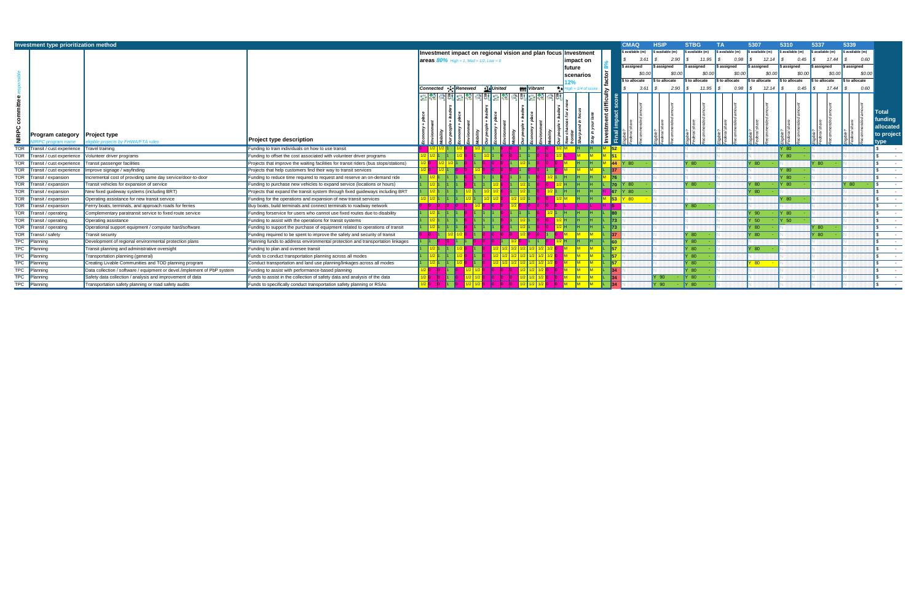|                          | Investment type prioritization method |                                                                          |                                                                                      |                  |         |              |                                                     |            |      |                                                          |         |                      |                 | <b>CMAQ</b>                     | <b>HSIP</b>      | <b>STBG</b>     | ΤA               | 5307                     | 5310              |           | 5337             | 5339                     |                                                           |
|--------------------------|---------------------------------------|--------------------------------------------------------------------------|--------------------------------------------------------------------------------------|------------------|---------|--------------|-----------------------------------------------------|------------|------|----------------------------------------------------------|---------|----------------------|-----------------|---------------------------------|------------------|-----------------|------------------|--------------------------|-------------------|-----------|------------------|--------------------------|-----------------------------------------------------------|
|                          |                                       |                                                                          |                                                                                      |                  |         |              | Investment impact on regional vision and plan focus |            |      |                                                          |         | Investment           |                 | available (m)                   | \$ available (m) | s available (m) | \$ available (m) | $\sqrt{\$$ available (m) | available (m)     |           | \$ available (m) | $\sqrt{\$$ available (m) |                                                           |
|                          |                                       |                                                                          |                                                                                      |                  |         |              | <b>areas 80%</b> High = 1, Med = 1/2, Low = 0       |            |      |                                                          |         | impact on            |                 | 3.61                            | 2.90             | 11.95           | 0.98             | 12.14                    |                   | 0.45      | 17.44            | 0.60                     |                                                           |
|                          |                                       |                                                                          |                                                                                      |                  |         |              |                                                     |            |      |                                                          |         | future               |                 | \$ assigned                     | \$ assigned      | \$ assigned     | \$ assigned      | \$ assigned              | <b>i assigned</b> |           | \$ assigned      | \$ assigned              |                                                           |
|                          |                                       |                                                                          |                                                                                      |                  |         |              |                                                     |            |      |                                                          |         | scenarios            |                 |                                 |                  |                 | \$0.00<br>\$0.00 | \$0.00                   |                   | \$0.00    | \$0.00           | \$0.00                   |                                                           |
|                          |                                       |                                                                          |                                                                                      |                  |         |              |                                                     |            |      |                                                          |         |                      |                 | \$ to allocate                  | \$ to allocate   | \$ to allocate  | \$ to allocate   | \$ to allocate           | \$ to allocate    |           | \$ to allocate   | S to allocate            |                                                           |
|                          |                                       |                                                                          |                                                                                      | <b>Connected</b> |         | • स् Renewed |                                                     | tĽt United |      | <b>榊朴 Vibrant</b>                                        |         | $igh = 1/4$ of score |                 | $3.61$ \$                       |                  | $2.90$ \$       | $11.95$ \$       | $0.98$ \$                | $12.14$ \$        | $0.45$ \$ |                  | 0.60                     |                                                           |
| $\widetilde{\mathbf{g}}$ | <b>Program category</b>               | <b>Project type</b><br>ligible projects by FHWA/FTA rules                | <b>Project type description</b>                                                      |                  |         |              | 隐隐病就感想痛就感想                                          |            | 绣越露靛 |                                                          |         |                      |                 |                                 |                  |                 |                  |                          |                   |           |                  |                          | <b>Total</b><br>funding<br>allocated<br>to project<br>/pe |
| <b>TOR</b>               | Transit / cust experience             | Travel training                                                          | Funding to train individuals on how to use transit                                   |                  |         |              |                                                     |            |      |                                                          |         |                      |                 |                                 |                  |                 |                  |                          | Y 80              |           |                  |                          |                                                           |
| <b>TOR</b>               | Transit / cust experience             | Volunteer driver programs                                                | Funding to offset the cost associated with volunteer driver programs                 |                  |         |              |                                                     |            |      |                                                          |         |                      |                 |                                 |                  |                 |                  |                          | $'$ 80            |           |                  |                          |                                                           |
| <b>TOR</b>               | Transit / cust experience             | Transit passenger facilities                                             | Projects that improve the waiting facilities for transit riders (bus stops/stations) |                  |         |              |                                                     |            |      |                                                          |         |                      |                 | $\parallel$ 44 $\parallel$ Y 80 |                  | 80              |                  | Y 80                     |                   |           | 80               |                          |                                                           |
| <b>TOR</b>               | Fransit / cust experience             | Improve signage / wayfinding                                             | Projects that help customers find their way to transit services                      |                  | $1/2$ 1 |              |                                                     |            |      |                                                          |         |                      | <b>137</b>      |                                 |                  |                 |                  |                          | $'$ 80            |           |                  |                          |                                                           |
| <b>TOR</b>               | Transit / expansion                   | Incremental cost of providing same day service/door-to-door              | Funding to reduce time required to request and reserve an on-demand ride             |                  |         |              |                                                     |            |      |                                                          |         |                      |                 |                                 |                  |                 |                  |                          | Y 80              |           |                  |                          |                                                           |
| <b>TOR</b>               | Transit / expansion                   | Transit vehicles for expansion of service                                | Funding to purchase new vehicles to expand service (locations or hours)              |                  |         |              |                                                     |            |      |                                                          |         |                      | $I\mathbf{70}$  | $\mathsf{Y}$ 80                 |                  | 80              |                  | Y 80                     | <b>Y</b> 80       |           |                  | Y 80                     |                                                           |
| <b>TOR</b>               | Transit / expansion                   | New fixed guideway systems (including BRT)                               | Projects that expand the transit system through fixed guideways including BRT        |                  |         |              |                                                     |            |      |                                                          | $1/2$ 1 |                      |                 | 67 Y 80                         |                  |                 |                  | Y 80                     |                   |           |                  |                          |                                                           |
| <b>TOR</b>               | Transit / expansion                   | Operating assistance for new transit service                             | Funding for the operations and expansion of new transit services                     |                  |         |              |                                                     |            |      |                                                          |         |                      |                 | $\mathsf{Y}$ 80                 |                  |                 |                  |                          | Y 80              |           |                  |                          |                                                           |
| <b>TOR</b>               | Transit / expansion                   | Ferrry boats, terminals, and approach roads for ferries                  | Buy boats, build terminals and connect terminals to roadway network                  |                  |         |              |                                                     |            |      |                                                          |         |                      |                 |                                 |                  | 80              |                  |                          |                   |           |                  |                          |                                                           |
| <b>TOR</b>               | Transit / operating                   | Complementary paratransit service to fixed route service                 | Funding forservice for users who cannot use fixed routes due to disability           |                  |         |              |                                                     |            |      |                                                          |         |                      | l80             |                                 |                  |                 |                  | Y 90                     | <b>Y</b> 80       |           |                  |                          |                                                           |
| <b>TOR</b>               | ransit / operating                    | Operating assistance                                                     | Funding to assist with the operations for transit systems                            |                  |         |              |                                                     |            |      |                                                          |         |                      |                 |                                 |                  |                 |                  | Y 50                     | $Y$ 50            |           |                  |                          |                                                           |
| <b>TOR</b>               | <b>Transit / operating</b>            | Operational support equipment / computer hard/software                   | Funding to support the purchase of equipment related to operations of transit        |                  |         |              |                                                     |            |      |                                                          |         |                      |                 |                                 |                  |                 |                  | Y 80                     |                   |           | 80 <sub>1</sub>  |                          |                                                           |
| <b>TOR</b>               | Transit / safety                      | <b>Transit security</b>                                                  | Funding required to be spent to improve the safety and security of transit           |                  |         |              |                                                     |            |      |                                                          |         |                      | $\mathbf{137}$  |                                 |                  | 80              |                  | Y 80                     |                   |           | 80 <sub>1</sub>  |                          |                                                           |
| <b>TPC</b>               | Planning                              | Development of regional environmental protection plans                   | Planning funds to address environmental protection and transportation linkages       |                  |         |              |                                                     |            |      |                                                          |         |                      | l60.            |                                 |                  | 80              |                  |                          |                   |           |                  |                          |                                                           |
| TPC                      | Planning                              | Transit planning and administrative oversight                            | Funding to plan and oversee transit                                                  |                  |         |              |                                                     |            |      | <mark>/2   1/2   1/2   1/2   1/2   1/2   1/2  </mark> 0  |         |                      | 157             |                                 |                  | - 80            |                  | Y 80                     |                   |           |                  |                          |                                                           |
| <b>TPC</b>               | Planning                              | Transportation planning (general)                                        | Funds to conduct transportation planning across all modes                            |                  |         |              |                                                     |            |      |                                                          |         |                      | $\overline{57}$ |                                 |                  | 80              |                  |                          |                   |           |                  |                          |                                                           |
| <b>TPC</b>               | Plannino                              | Creating Livable Communities and TOD planning program                    | Conduct transportation and land use planning/linkages across all modes               |                  |         |              |                                                     |            |      | <mark>1/2   1/2   1/2   1/2   1/2   1/2   1/2  </mark> ( |         |                      | $\sqrt{57}$     |                                 |                  | 80              |                  | 80 <sup>°</sup>          |                   |           |                  |                          |                                                           |
| <b>TPC</b>               | Planning                              | Data collection / software / equipment or devel./implement of PbP system | Funding to assist with performance-based planning                                    |                  |         |              |                                                     |            |      | /2 1/2 1/2 0                                             |         |                      | $\vert$ 34      |                                 |                  | 80              |                  |                          |                   |           |                  |                          |                                                           |
| <b>TPC</b>               | Planning                              | Safety data collection / analysis and improvement of data                | Funds to assist in the collection of safety data and analysis of the data            |                  |         |              |                                                     |            |      |                                                          |         |                      | $\vert$ 34      |                                 | Y 90             | Y 80            |                  |                          |                   |           |                  |                          |                                                           |
| TPC Planning             |                                       | Transportation safety planning or road safety audits                     | Funds to specifically conduct transportation safety planning or RSAs                 |                  |         |              |                                                     |            |      | 1/2 1/2 1/2                                              |         |                      |                 |                                 | Y 90             | <b>Y</b> 80     |                  |                          |                   |           |                  |                          |                                                           |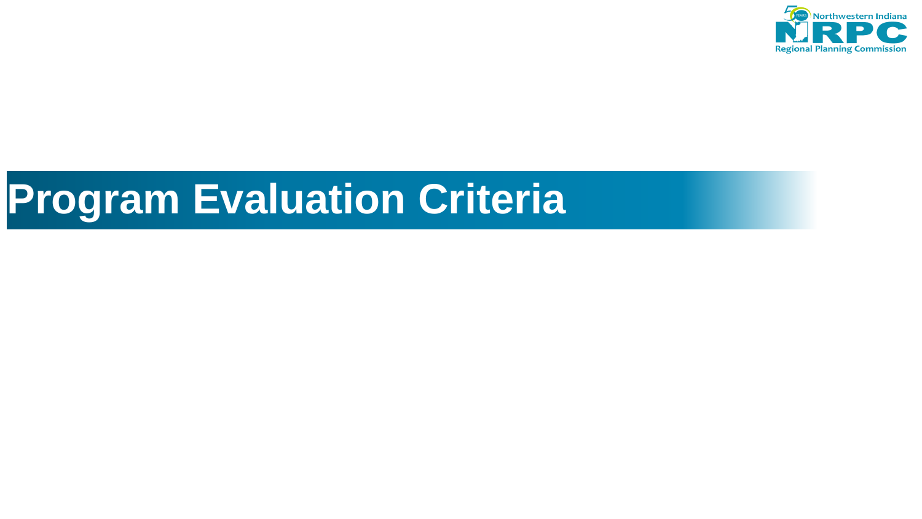

# **Program Evaluation Criteria**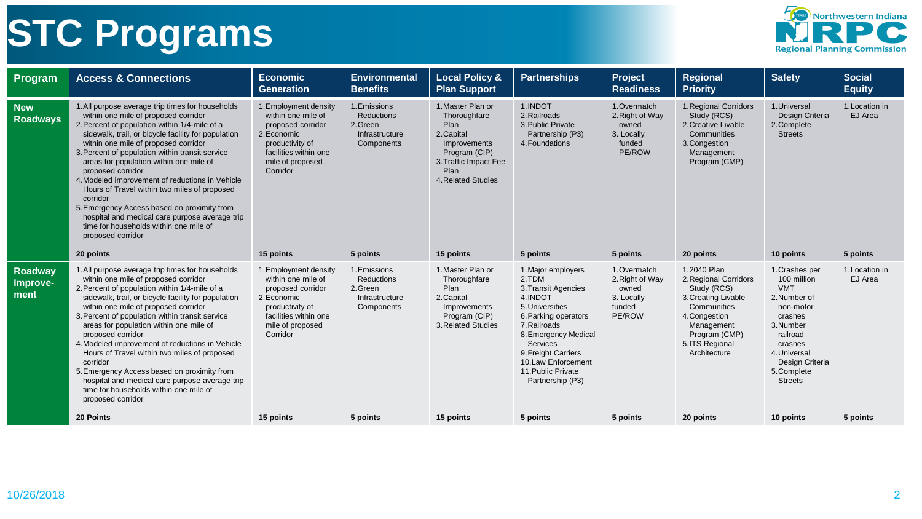# **STC Programs**



| Program                            | <b>Access &amp; Connections</b>                                                                                                                                                                                                                                                                                                                                                                                                                                                                                                                                                                                                                         | <b>Economic</b><br><b>Generation</b>                                                                                                                                     | <b>Environmental</b><br><b>Benefits</b>                                           | <b>Local Policy &amp;</b><br><b>Plan Support</b>                                                                                                             | <b>Partnerships</b>                                                                                                                                                                                                                                        | Project<br><b>Readiness</b>                                                            | Regional<br><b>Priority</b>                                                                                                                                                  | <b>Safety</b>                                                                                                                                                                               | <b>Social</b><br><b>Equity</b>        |
|------------------------------------|---------------------------------------------------------------------------------------------------------------------------------------------------------------------------------------------------------------------------------------------------------------------------------------------------------------------------------------------------------------------------------------------------------------------------------------------------------------------------------------------------------------------------------------------------------------------------------------------------------------------------------------------------------|--------------------------------------------------------------------------------------------------------------------------------------------------------------------------|-----------------------------------------------------------------------------------|--------------------------------------------------------------------------------------------------------------------------------------------------------------|------------------------------------------------------------------------------------------------------------------------------------------------------------------------------------------------------------------------------------------------------------|----------------------------------------------------------------------------------------|------------------------------------------------------------------------------------------------------------------------------------------------------------------------------|---------------------------------------------------------------------------------------------------------------------------------------------------------------------------------------------|---------------------------------------|
| <b>New</b><br><b>Roadways</b>      | 1. All purpose average trip times for households<br>within one mile of proposed corridor<br>2. Percent of population within 1/4-mile of a<br>sidewalk, trail, or bicycle facility for population<br>within one mile of proposed corridor<br>3. Percent of population within transit service<br>areas for population within one mile of<br>proposed corridor<br>4. Modeled improvement of reductions in Vehicle<br>Hours of Travel within two miles of proposed<br>corridor<br>5. Emergency Access based on proximity from<br>hospital and medical care purpose average trip<br>time for households within one mile of<br>proposed corridor<br>20 points | 1. Employment density<br>within one mile of<br>proposed corridor<br>2. Economic<br>productivity of<br>facilities within one<br>mile of proposed<br>Corridor<br>15 points | 1. Emissions<br>Reductions<br>2.Green<br>Infrastructure<br>Components<br>5 points | 1. Master Plan or<br>Thoroughfare<br>Plan<br>2. Capital<br>Improvements<br>Program (CIP)<br>3. Traffic Impact Fee<br>Plan<br>4. Related Studies<br>15 points | 1.INDOT<br>2. Railroads<br>3. Public Private<br>Partnership (P3)<br>4. Foundations<br>5 points                                                                                                                                                             | 1. Overmatch<br>2. Right of Way<br>owned<br>3. Locally<br>funded<br>PE/ROW<br>5 points | 1. Regional Corridors<br>Study (RCS)<br>2. Creative Livable<br>Communities<br>3. Congestion<br>Management<br>Program (CMP)<br>20 points                                      | 1. Universal<br>Design Criteria<br>2. Complete<br><b>Streets</b><br>10 points                                                                                                               | 1. Location in<br>EJ Area<br>5 points |
| <b>Roadway</b><br>Improve-<br>ment | 1. All purpose average trip times for households<br>within one mile of proposed corridor<br>2. Percent of population within 1/4-mile of a<br>sidewalk, trail, or bicycle facility for population<br>within one mile of proposed corridor<br>3. Percent of population within transit service<br>areas for population within one mile of<br>proposed corridor<br>4. Modeled improvement of reductions in Vehicle<br>Hours of Travel within two miles of proposed<br>corridor<br>5. Emergency Access based on proximity from<br>hospital and medical care purpose average trip<br>time for households within one mile of<br>proposed corridor              | 1. Employment density<br>within one mile of<br>proposed corridor<br>2. Economic<br>productivity of<br>facilities within one<br>mile of proposed<br>Corridor              | 1. Emissions<br>Reductions<br>2. Green<br>Infrastructure<br>Components            | 1. Master Plan or<br>Thoroughfare<br>Plan<br>2. Capital<br>Improvements<br>Program (CIP)<br>3. Related Studies                                               | 1. Major employers<br>2.TDM<br>3. Transit Agencies<br>4.INDOT<br>5. Universities<br>6. Parking operators<br>7. Railroads<br>8. Emergency Medical<br><b>Services</b><br>9. Freight Carriers<br>10.Law Enforcement<br>11. Public Private<br>Partnership (P3) | 1. Overmatch<br>2. Right of Way<br>owned<br>3. Locally<br>funded<br>PE/ROW             | 1.2040 Plan<br>2. Regional Corridors<br>Study (RCS)<br>3. Creating Livable<br>Communities<br>4. Congestion<br>Management<br>Program (CMP)<br>5. ITS Regional<br>Architecture | 1. Crashes per<br>100 million<br><b>VMT</b><br>2. Number of<br>non-motor<br>crashes<br>3. Number<br>railroad<br>crashes<br>4. Universal<br>Design Criteria<br>5. Complete<br><b>Streets</b> | 1. Location in<br>EJ Area             |
|                                    | 20 Points                                                                                                                                                                                                                                                                                                                                                                                                                                                                                                                                                                                                                                               | 15 points                                                                                                                                                                | 5 points                                                                          | 15 points                                                                                                                                                    | 5 points                                                                                                                                                                                                                                                   | 5 points                                                                               | 20 points                                                                                                                                                                    | 10 points                                                                                                                                                                                   | 5 points                              |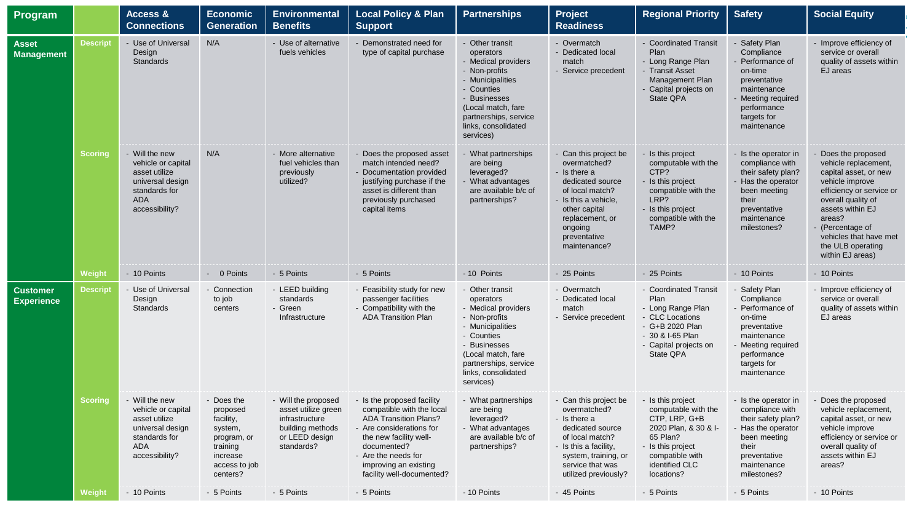| Program                              |                 | Access &<br><b>Connections</b>                                                                                             | <b>Economic</b><br><b>Generation</b>                                                                               | <b>Environmental</b><br><b>Benefits</b>                                                                          | <b>Local Policy &amp; Plan</b><br><b>Support</b>                                                                                                                                                                                          | <b>Partnerships</b>                                                                                                                                                                                       | Project<br><b>Readiness</b>                                                                                                                                                                         | <b>Regional Priority</b>                                                                                                                                              | <b>Safety</b>                                                                                                                                              | <b>Social Equity</b>                                                                                                                                                                                                                                         |
|--------------------------------------|-----------------|----------------------------------------------------------------------------------------------------------------------------|--------------------------------------------------------------------------------------------------------------------|------------------------------------------------------------------------------------------------------------------|-------------------------------------------------------------------------------------------------------------------------------------------------------------------------------------------------------------------------------------------|-----------------------------------------------------------------------------------------------------------------------------------------------------------------------------------------------------------|-----------------------------------------------------------------------------------------------------------------------------------------------------------------------------------------------------|-----------------------------------------------------------------------------------------------------------------------------------------------------------------------|------------------------------------------------------------------------------------------------------------------------------------------------------------|--------------------------------------------------------------------------------------------------------------------------------------------------------------------------------------------------------------------------------------------------------------|
| <b>Asset</b><br><b>Management</b>    | <b>Descript</b> | - Use of Universal<br>Design<br>Standards                                                                                  | N/A                                                                                                                | - Use of alternative<br>fuels vehicles                                                                           | - Demonstrated need for<br>type of capital purchase                                                                                                                                                                                       | - Other transit<br>operators<br>- Medical providers<br>- Non-profits<br>- Municipalities<br>- Counties<br>- Businesses<br>(Local match, fare<br>partnerships, service<br>links, consolidated<br>services) | - Overmatch<br>- Dedicated local<br>match<br>- Service precedent                                                                                                                                    | - Coordinated Transit<br>Plan<br>- Long Range Plan<br>- Transit Asset<br>Management Plan<br>- Capital projects on<br>State QPA                                        | - Safety Plan<br>Compliance<br>Performance of<br>on-time<br>preventative<br>maintenance<br>Meeting required<br>performance<br>targets for<br>maintenance   | - Improve efficiency of<br>service or overall<br>quality of assets within<br>EJ areas                                                                                                                                                                        |
|                                      | <b>Scoring</b>  | - Will the new<br>vehicle or capital<br>asset utilize<br>universal design<br>standards for<br><b>ADA</b><br>accessibility? | N/A                                                                                                                | - More alternative<br>fuel vehicles than<br>previously<br>utilized?                                              | - Does the proposed asset<br>match intended need?<br>Documentation provided<br>justifying purchase if the<br>asset is different than<br>previously purchased<br>capital items                                                             | What partnerships<br>are being<br>leveraged?<br>- What advantages<br>are available b/c of<br>partnerships?                                                                                                | - Can this project be<br>overmatched?<br>- Is there a<br>dedicated source<br>of local match?<br>- Is this a vehicle,<br>other capital<br>replacement, or<br>ongoing<br>preventative<br>maintenance? | - Is this project<br>computable with the<br>CTP?<br>- Is this project<br>compatible with the<br>LRP?<br>- Is this project<br>compatible with the<br>TAMP?             | - Is the operator in<br>compliance with<br>their safety plan?<br>- Has the operator<br>been meeting<br>their<br>preventative<br>maintenance<br>milestones? | Does the proposed<br>vehicle replacement,<br>capital asset, or new<br>vehicle improve<br>efficiency or service or<br>overall quality of<br>assets within EJ<br>areas?<br>- (Percentage of<br>vehicles that have met<br>the ULB operating<br>within EJ areas) |
|                                      | Weight          | - 10 Points                                                                                                                | - 0 Points                                                                                                         | - 5 Points                                                                                                       | - 5 Points                                                                                                                                                                                                                                | - 10 Points                                                                                                                                                                                               | - 25 Points                                                                                                                                                                                         | - 25 Points                                                                                                                                                           | - 10 Points                                                                                                                                                | - 10 Points                                                                                                                                                                                                                                                  |
| <b>Customer</b><br><b>Experience</b> | <b>Descript</b> | - Use of Universal<br>Design<br>Standards                                                                                  | - Connection<br>to job<br>centers                                                                                  | - LEED building<br>standards<br>- Green<br>Infrastructure                                                        | - Feasibility study for new<br>passenger facilities<br>- Compatibility with the<br><b>ADA Transition Plan</b>                                                                                                                             | - Other transit<br>operators<br>- Medical providers<br>- Non-profits<br>- Municipalities<br>- Counties<br>- Businesses<br>(Local match, fare<br>partnerships, service<br>links, consolidated<br>services) | - Overmatch<br>- Dedicated local<br>match<br>- Service precedent                                                                                                                                    | - Coordinated Transit<br>Plan<br>- Long Range Plan<br>- CLC Locations<br>- G+B 2020 Plan<br>- 30 & I-65 Plan<br>- Capital projects on<br>State QPA                    | - Safety Plan<br>Compliance<br>- Performance of<br>on-time<br>preventative<br>maintenance<br>Meeting required<br>performance<br>targets for<br>maintenance | - Improve efficiency of<br>service or overall<br>quality of assets within<br>EJ areas                                                                                                                                                                        |
|                                      | <b>Scoring</b>  | - Will the new<br>vehicle or capital<br>asset utilize<br>universal design<br>standards for<br><b>ADA</b><br>accessibility? | - Does the<br>proposed<br>facility,<br>system,<br>program, or<br>training<br>increase<br>access to job<br>centers? | - Will the proposed<br>asset utilize green<br>infrastructure<br>building methods<br>or LEED design<br>standards? | - Is the proposed facility<br>compatible with the local<br><b>ADA Transition Plans?</b><br>- Are considerations for<br>the new facility well-<br>documented?<br>- Are the needs for<br>improving an existing<br>facility well-documented? | - What partnerships<br>are being<br>leveraged?<br>- What advantages<br>are available b/c of<br>partnerships?                                                                                              | - Can this project be<br>overmatched?<br>- Is there a<br>dedicated source<br>of local match?<br>- Is this a facility,<br>system, training, or<br>service that was<br>utilized previously?           | - Is this project<br>computable with the<br>CTP, LRP, G+B<br>2020 Plan, & 30 & I-<br>65 Plan?<br>- Is this project<br>compatible with<br>identified CLC<br>locations? | - Is the operator in<br>compliance with<br>their safety plan?<br>Has the operator<br>been meeting<br>their<br>preventative<br>maintenance<br>milestones?   | Does the proposed<br>vehicle replacement,<br>capital asset, or new<br>vehicle improve<br>efficiency or service or<br>overall quality of<br>assets within EJ<br>areas?                                                                                        |
|                                      | Weight          | - 10 Points                                                                                                                | - 5 Points                                                                                                         | - 5 Points                                                                                                       | - 5 Points                                                                                                                                                                                                                                | - 10 Points                                                                                                                                                                                               | - 45 Points                                                                                                                                                                                         | - 5 Points                                                                                                                                                            | - 5 Points                                                                                                                                                 | - 10 Points                                                                                                                                                                                                                                                  |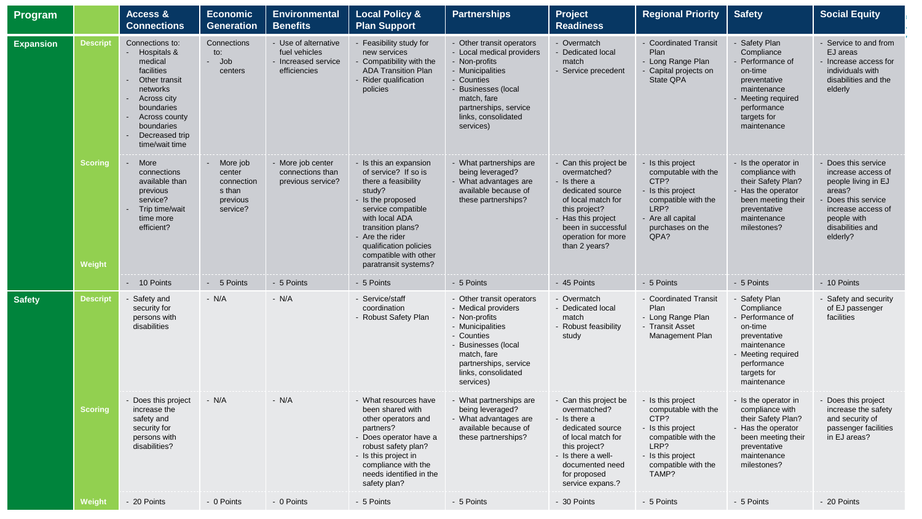| Program          |                          | Access &<br><b>Connections</b>                                                                                                                                                                                     | <b>Economic</b><br><b>Generation</b>                               | <b>Environmental</b><br><b>Benefits</b>                                      | <b>Local Policy &amp;</b><br><b>Plan Support</b>                                                                                                                                                                                                                | <b>Partnerships</b>                                                                                                                                                                                          | <b>Project</b><br><b>Readiness</b>                                                                                                                                                                  | <b>Regional Priority</b>                                                                                                                                  | <b>Safety</b>                                                                                                                                                | <b>Social Equity</b>                                                                                                                                                 |
|------------------|--------------------------|--------------------------------------------------------------------------------------------------------------------------------------------------------------------------------------------------------------------|--------------------------------------------------------------------|------------------------------------------------------------------------------|-----------------------------------------------------------------------------------------------------------------------------------------------------------------------------------------------------------------------------------------------------------------|--------------------------------------------------------------------------------------------------------------------------------------------------------------------------------------------------------------|-----------------------------------------------------------------------------------------------------------------------------------------------------------------------------------------------------|-----------------------------------------------------------------------------------------------------------------------------------------------------------|--------------------------------------------------------------------------------------------------------------------------------------------------------------|----------------------------------------------------------------------------------------------------------------------------------------------------------------------|
| <b>Expansion</b> | <b>Descript</b>          | Connections to:<br>Hospitals &<br>$\sim$<br>medical<br>facilities<br>Other transit<br>networks<br>Across city<br>$\sim$<br>boundaries<br>Across county<br>$\sim$<br>boundaries<br>Decreased trip<br>time/wait time | Connections<br>to:<br>- Job<br>centers                             | - Use of alternative<br>fuel vehicles<br>- Increased service<br>efficiencies | - Feasibility study for<br>new services<br>Compatibility with the<br><b>ADA Transition Plan</b><br>Rider qualification<br>policies                                                                                                                              | - Other transit operators<br>- Local medical providers<br>- Non-profits<br>- Municipalities<br>- Counties<br>- Businesses (local<br>match, fare<br>partnerships, service<br>links, consolidated<br>services) | - Overmatch<br>- Dedicated local<br>match<br>- Service precedent                                                                                                                                    | - Coordinated Transit<br>Plan<br>- Long Range Plan<br>Capital projects on<br>State QPA                                                                    | - Safety Plan<br>Compliance<br>- Performance of<br>on-time<br>preventative<br>maintenance<br>- Meeting required<br>performance<br>targets for<br>maintenance | - Service to and from<br>EJ areas<br>- Increase access for<br>individuals with<br>disabilities and the<br>elderly                                                    |
|                  | <b>Scoring</b><br>Weight | More<br>$\sim$<br>connections<br>available than<br>previous<br>service?<br>Trip time/wait<br>time more<br>efficient?                                                                                               | More job<br>center<br>connection<br>s than<br>previous<br>service? | - More job center<br>connections than<br>previous service?                   | - Is this an expansion<br>of service? If so is<br>there a feasibility<br>study?<br>- Is the proposed<br>service compatible<br>with local ADA<br>transition plans?<br>- Are the rider<br>qualification policies<br>compatible with other<br>paratransit systems? | - What partnerships are<br>being leveraged?<br>- What advantages are<br>available because of<br>these partnerships?                                                                                          | - Can this project be<br>overmatched?<br>- Is there a<br>dedicated source<br>of local match for<br>this project?<br>- Has this project<br>been in successful<br>operation for more<br>than 2 years? | - Is this project<br>computable with the<br>CTP?<br>- Is this project<br>compatible with the<br>LRP?<br>- Are all capital<br>purchases on the<br>QPA?     | - Is the operator in<br>compliance with<br>their Safety Plan?<br>- Has the operator<br>been meeting their<br>preventative<br>maintenance<br>milestones?      | - Does this service<br>increase access of<br>people living in EJ<br>areas?<br>Does this service<br>increase access of<br>people with<br>disabilities and<br>elderly? |
|                  |                          | - 10 Points                                                                                                                                                                                                        | - 5 Points                                                         | - 5 Points                                                                   | - 5 Points                                                                                                                                                                                                                                                      | - 5 Points                                                                                                                                                                                                   | - 45 Points                                                                                                                                                                                         | - 5 Points                                                                                                                                                | - 5 Points                                                                                                                                                   | - 10 Points                                                                                                                                                          |
| <b>Safety</b>    | <b>Descript</b>          | Safety and<br>security for<br>persons with<br>disabilities                                                                                                                                                         | $- N/A$                                                            | $- N/A$                                                                      | - Service/staff<br>coordination<br>- Robust Safety Plan                                                                                                                                                                                                         | - Other transit operators<br>- Medical providers<br>- Non-profits<br>- Municipalities<br>- Counties<br>- Businesses (local<br>match, fare<br>partnerships, service<br>links, consolidated<br>services)       | - Overmatch<br>- Dedicated local<br>match<br>- Robust feasibility<br>study                                                                                                                          | - Coordinated Transit<br>Plan<br>- Long Range Plan<br>- Transit Asset<br>Management Plan                                                                  | - Safety Plan<br>Compliance<br>- Performance of<br>on-time<br>preventative<br>maintenance<br>- Meeting required<br>performance<br>targets for<br>maintenance | - Safety and security<br>of EJ passenger<br>facilities                                                                                                               |
|                  | <b>Scoring</b>           | - Does this project<br>increase the<br>safety and<br>security for<br>persons with<br>disabilities?                                                                                                                 | $- N/A$                                                            | $- N/A$                                                                      | - What resources have<br>been shared with<br>other operators and<br>partners?<br>- Does operator have a<br>robust safety plan?<br>- Is this project in<br>compliance with the<br>needs identified in the<br>safety plan?                                        | - What partnerships are<br>being leveraged?<br>- What advantages are<br>available because of<br>these partnerships?                                                                                          | - Can this project be<br>overmatched?<br>- Is there a<br>dedicated source<br>of local match for<br>this project?<br>- Is there a well-<br>documented need<br>for proposed<br>service expans.?       | - Is this project<br>computable with the<br>CTP?<br>- Is this project<br>compatible with the<br>LRP?<br>- Is this project<br>compatible with the<br>TAMP? | - Is the operator in<br>compliance with<br>their Safety Plan?<br>- Has the operator<br>been meeting their<br>preventative<br>maintenance<br>milestones?      | - Does this project<br>increase the safety<br>and security of<br>passenger facilities<br>in EJ areas?                                                                |
|                  | Weight                   | - 20 Points                                                                                                                                                                                                        | - 0 Points                                                         | - 0 Points                                                                   | - 5 Points                                                                                                                                                                                                                                                      | - 5 Points                                                                                                                                                                                                   | - 30 Points                                                                                                                                                                                         | - 5 Points                                                                                                                                                | - 5 Points                                                                                                                                                   | - 20 Points                                                                                                                                                          |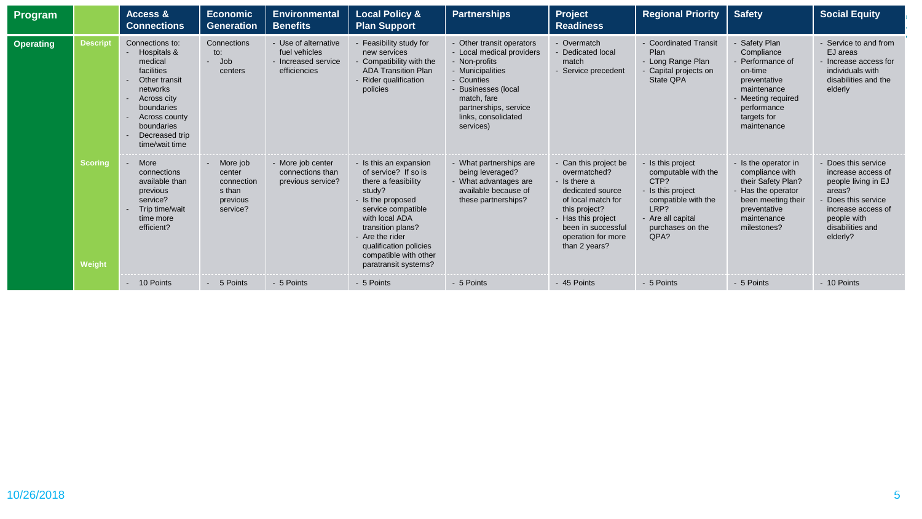| Program   |                          | Access &<br><b>Connections</b>                                                                                                                                                                   | <b>Economic</b><br><b>Generation</b>                               | <b>Environmental</b><br><b>Benefits</b>                                  | <b>Local Policy &amp;</b><br><b>Plan Support</b>                                                                                                                                                                                                                | <b>Partnerships</b>                                                                                                                                                                                               | Project<br><b>Readiness</b>                                                                                                                                                                         | <b>Regional Priority</b>                                                                                                                          | <b>Safety</b>                                                                                                                                                | <b>Social Equity</b>                                                                                                                                               |
|-----------|--------------------------|--------------------------------------------------------------------------------------------------------------------------------------------------------------------------------------------------|--------------------------------------------------------------------|--------------------------------------------------------------------------|-----------------------------------------------------------------------------------------------------------------------------------------------------------------------------------------------------------------------------------------------------------------|-------------------------------------------------------------------------------------------------------------------------------------------------------------------------------------------------------------------|-----------------------------------------------------------------------------------------------------------------------------------------------------------------------------------------------------|---------------------------------------------------------------------------------------------------------------------------------------------------|--------------------------------------------------------------------------------------------------------------------------------------------------------------|--------------------------------------------------------------------------------------------------------------------------------------------------------------------|
| Operating | <b>Descript</b>          | Connections to:<br>- Hospitals &<br>medical<br>facilities<br>Other transit<br>networks<br>Across city<br>$\sim$<br>boundaries<br>Across county<br>boundaries<br>Decreased trip<br>time/wait time | Connections<br>to:<br>- Job<br>centers                             | Use of alternative<br>fuel vehicles<br>Increased service<br>efficiencies | Feasibility study for<br>new services<br>Compatibility with the<br><b>ADA Transition Plan</b><br>- Rider qualification<br>policies                                                                                                                              | - Other transit operators<br>- Local medical providers<br>- Non-profits<br>- Municipalities<br>- Counties<br><b>Businesses</b> (local<br>match, fare<br>partnerships, service<br>links, consolidated<br>services) | - Overmatch<br>- Dedicated local<br>match<br>Service precedent                                                                                                                                      | <b>Coordinated Transit</b><br>Plan<br>- Long Range Plan<br>Capital projects on<br>State QPA                                                       | - Safety Plan<br>Compliance<br>- Performance of<br>on-time<br>preventative<br>maintenance<br>- Meeting required<br>performance<br>targets for<br>maintenance | - Service to and from<br>EJ areas<br>- Increase access for<br>individuals with<br>disabilities and the<br>elderly                                                  |
|           | <b>Scoring</b><br>Weight | More<br>connections<br>available than<br>previous<br>service?<br>Trip time/wait<br>$\sim$<br>time more<br>efficient?                                                                             | More job<br>center<br>connection<br>s than<br>previous<br>service? | - More job center<br>connections than<br>previous service?               | - Is this an expansion<br>of service? If so is<br>there a feasibility<br>study?<br>- Is the proposed<br>service compatible<br>with local ADA<br>transition plans?<br>- Are the rider<br>qualification policies<br>compatible with other<br>paratransit systems? | What partnerships are<br>being leveraged?<br>What advantages are<br>available because of<br>these partnerships?                                                                                                   | - Can this project be<br>overmatched?<br>- Is there a<br>dedicated source<br>of local match for<br>this project?<br>- Has this project<br>been in successful<br>operation for more<br>than 2 years? | Is this project<br>computable with the<br>CTP?<br>Is this project<br>compatible with the<br>LRP?<br>- Are all capital<br>purchases on the<br>QPA? | - Is the operator in<br>compliance with<br>their Safety Plan?<br>- Has the operator<br>been meeting their<br>preventative<br>maintenance<br>milestones?      | Does this service<br>increase access of<br>people living in EJ<br>areas?<br>Does this service<br>increase access of<br>people with<br>disabilities and<br>elderly? |
|           |                          | - 10 Points                                                                                                                                                                                      | - 5 Points                                                         | - 5 Points                                                               | - 5 Points                                                                                                                                                                                                                                                      | - 5 Points                                                                                                                                                                                                        | - 45 Points                                                                                                                                                                                         | - 5 Points                                                                                                                                        | - 5 Points                                                                                                                                                   | - 10 Points                                                                                                                                                        |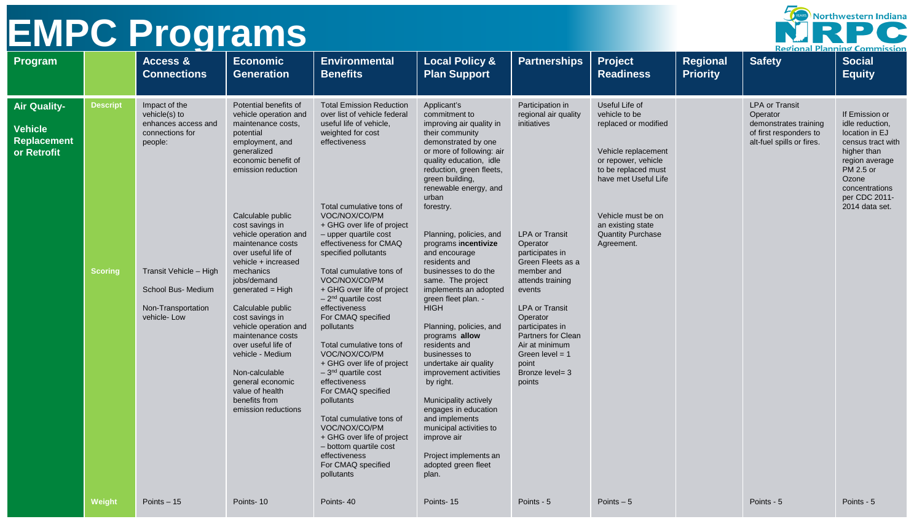| Northwestern Indiana                |  |
|-------------------------------------|--|
|                                     |  |
| <b>Regional Planning Commission</b> |  |

| Program                                                                    |                            | Access &<br><b>Connections</b>                                                                                                                                           | <b>Economic</b><br><b>Generation</b>                                                                                                                                                                                                                                                                                                                                                                                                                                                                                                                                                     | <b>Environmental</b><br><b>Benefits</b>                                                                                                                                                                                                                                                                                                                                                                                                                                                                                                                                                                                                                                                                                                                          | <b>Local Policy &amp;</b><br><b>Plan Support</b>                                                                                                                                                                                                                                                                                                                                                                                                                                                                                                                                                                                                                                                                                                                               | <b>Partnerships</b>                                                                                                                                                                                                                                                                                                                                | <b>Project</b><br><b>Readiness</b>                                                                                                                                                                                                        | Regional<br><b>Priority</b> | <b>Safety</b>                                                                                                     | <b>Social</b><br><b>Equity</b>                                                                                                                                                       |
|----------------------------------------------------------------------------|----------------------------|--------------------------------------------------------------------------------------------------------------------------------------------------------------------------|------------------------------------------------------------------------------------------------------------------------------------------------------------------------------------------------------------------------------------------------------------------------------------------------------------------------------------------------------------------------------------------------------------------------------------------------------------------------------------------------------------------------------------------------------------------------------------------|------------------------------------------------------------------------------------------------------------------------------------------------------------------------------------------------------------------------------------------------------------------------------------------------------------------------------------------------------------------------------------------------------------------------------------------------------------------------------------------------------------------------------------------------------------------------------------------------------------------------------------------------------------------------------------------------------------------------------------------------------------------|--------------------------------------------------------------------------------------------------------------------------------------------------------------------------------------------------------------------------------------------------------------------------------------------------------------------------------------------------------------------------------------------------------------------------------------------------------------------------------------------------------------------------------------------------------------------------------------------------------------------------------------------------------------------------------------------------------------------------------------------------------------------------------|----------------------------------------------------------------------------------------------------------------------------------------------------------------------------------------------------------------------------------------------------------------------------------------------------------------------------------------------------|-------------------------------------------------------------------------------------------------------------------------------------------------------------------------------------------------------------------------------------------|-----------------------------|-------------------------------------------------------------------------------------------------------------------|--------------------------------------------------------------------------------------------------------------------------------------------------------------------------------------|
| <b>Air Quality-</b><br><b>Vehicle</b><br><b>Replacement</b><br>or Retrofit | <b>Descript</b><br>Scoring | Impact of the<br>vehicle(s) to<br>enhances access and<br>connections for<br>people:<br>Transit Vehicle - High<br>School Bus- Medium<br>Non-Transportation<br>vehicle-Low | Potential benefits of<br>vehicle operation and<br>maintenance costs,<br>potential<br>employment, and<br>generalized<br>economic benefit of<br>emission reduction<br>Calculable public<br>cost savings in<br>vehicle operation and<br>maintenance costs<br>over useful life of<br>vehicle + increased<br>mechanics<br>jobs/demand<br>generated $=$ High<br>Calculable public<br>cost savings in<br>vehicle operation and<br>maintenance costs<br>over useful life of<br>vehicle - Medium<br>Non-calculable<br>general economic<br>value of health<br>benefits from<br>emission reductions | <b>Total Emission Reduction</b><br>over list of vehicle federal<br>useful life of vehicle,<br>weighted for cost<br>effectiveness<br>Total cumulative tons of<br>VOC/NOX/CO/PM<br>+ GHG over life of project<br>- upper quartile cost<br>effectiveness for CMAQ<br>specified pollutants<br>Total cumulative tons of<br>VOC/NOX/CO/PM<br>+ GHG over life of project<br>$-2nd$ quartile cost<br>effectiveness<br>For CMAQ specified<br>pollutants<br>Total cumulative tons of<br>VOC/NOX/CO/PM<br>+ GHG over life of project<br>$-3nd$ quartile cost<br>effectiveness<br>For CMAQ specified<br>pollutants<br>Total cumulative tons of<br>VOC/NOX/CO/PM<br>+ GHG over life of project<br>- bottom quartile cost<br>effectiveness<br>For CMAQ specified<br>pollutants | Applicant's<br>commitment to<br>improving air quality in<br>their community<br>demonstrated by one<br>or more of following: air<br>quality education, idle<br>reduction, green fleets,<br>green building,<br>renewable energy, and<br>urban<br>forestry.<br>Planning, policies, and<br>programs incentivize<br>and encourage<br>residents and<br>businesses to do the<br>same. The project<br>implements an adopted<br>green fleet plan. -<br><b>HIGH</b><br>Planning, policies, and<br>programs allow<br>residents and<br>businesses to<br>undertake air quality<br>improvement activities<br>by right.<br>Municipality actively<br>engages in education<br>and implements<br>municipal activities to<br>improve air<br>Project implements an<br>adopted green fleet<br>plan. | Participation in<br>regional air quality<br>initiatives<br><b>LPA or Transit</b><br>Operator<br>participates in<br>Green Fleets as a<br>member and<br>attends training<br>events<br><b>LPA or Transit</b><br>Operator<br>participates in<br><b>Partners for Clean</b><br>Air at minimum<br>Green level $= 1$<br>point<br>Bronze level= 3<br>points | Useful Life of<br>vehicle to be<br>replaced or modified<br>Vehicle replacement<br>or repower, vehicle<br>to be replaced must<br>have met Useful Life<br>Vehicle must be on<br>an existing state<br><b>Quantity Purchase</b><br>Agreement. |                             | <b>LPA or Transit</b><br>Operator<br>demonstrates training<br>of first responders to<br>alt-fuel spills or fires. | If Emission or<br>idle reduction,<br>location in EJ<br>census tract with<br>higher than<br>region average<br>PM 2.5 or<br>Ozone<br>concentrations<br>per CDC 2011-<br>2014 data set. |
|                                                                            | Weight                     | Points $-15$                                                                                                                                                             | Points-10                                                                                                                                                                                                                                                                                                                                                                                                                                                                                                                                                                                | Points-40                                                                                                                                                                                                                                                                                                                                                                                                                                                                                                                                                                                                                                                                                                                                                        | Points-15                                                                                                                                                                                                                                                                                                                                                                                                                                                                                                                                                                                                                                                                                                                                                                      | Points - 5                                                                                                                                                                                                                                                                                                                                         | Points $-5$                                                                                                                                                                                                                               |                             | Points - 5                                                                                                        | Points - 5                                                                                                                                                                           |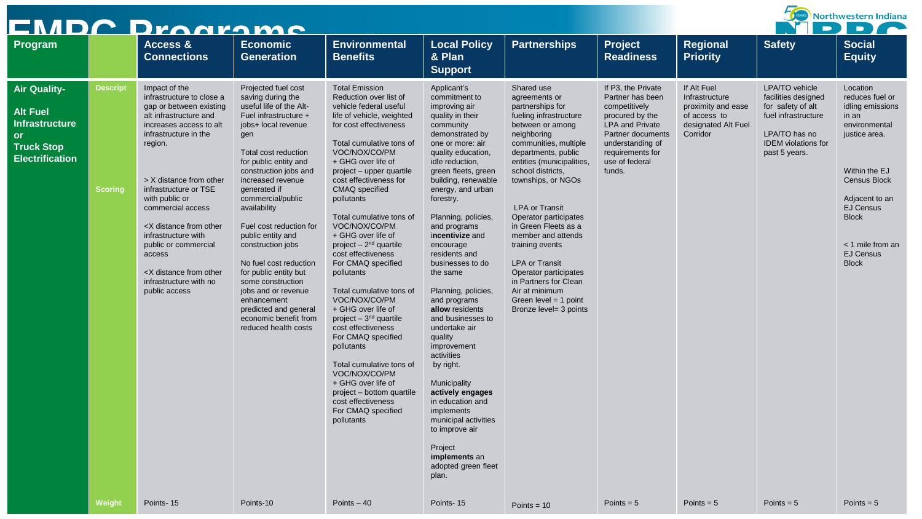|                                                                                                                             |                                   | EMDC Dragrame                                                                                                                                                                                                                                                                                                                                                                                                                                   |                                                                                                                                                                                                                                                                                                                                                                                                                                                                                                                                             |                                                                                                                                                                                                                                                                                                                                                                                                                                                                                                                                                                                                                                                                                                                                                                     |                                                                                                                                                                                                                                                                                                                                                                                                                                                                                                                                                                                                                                                                                                         |                                                                                                                                                                                                                                                                                                                                                                                                                                                                                                           |                                                                                                                                                                                               |                                                                                                        | DD)                                                                                                                                               | Northwestern Indiana<br>$\blacksquare$                                                                                                                                                                                                           |
|-----------------------------------------------------------------------------------------------------------------------------|-----------------------------------|-------------------------------------------------------------------------------------------------------------------------------------------------------------------------------------------------------------------------------------------------------------------------------------------------------------------------------------------------------------------------------------------------------------------------------------------------|---------------------------------------------------------------------------------------------------------------------------------------------------------------------------------------------------------------------------------------------------------------------------------------------------------------------------------------------------------------------------------------------------------------------------------------------------------------------------------------------------------------------------------------------|---------------------------------------------------------------------------------------------------------------------------------------------------------------------------------------------------------------------------------------------------------------------------------------------------------------------------------------------------------------------------------------------------------------------------------------------------------------------------------------------------------------------------------------------------------------------------------------------------------------------------------------------------------------------------------------------------------------------------------------------------------------------|---------------------------------------------------------------------------------------------------------------------------------------------------------------------------------------------------------------------------------------------------------------------------------------------------------------------------------------------------------------------------------------------------------------------------------------------------------------------------------------------------------------------------------------------------------------------------------------------------------------------------------------------------------------------------------------------------------|-----------------------------------------------------------------------------------------------------------------------------------------------------------------------------------------------------------------------------------------------------------------------------------------------------------------------------------------------------------------------------------------------------------------------------------------------------------------------------------------------------------|-----------------------------------------------------------------------------------------------------------------------------------------------------------------------------------------------|--------------------------------------------------------------------------------------------------------|---------------------------------------------------------------------------------------------------------------------------------------------------|--------------------------------------------------------------------------------------------------------------------------------------------------------------------------------------------------------------------------------------------------|
| Program                                                                                                                     |                                   | Access &<br><b>Connections</b>                                                                                                                                                                                                                                                                                                                                                                                                                  | <b>Economic</b><br><b>Generation</b>                                                                                                                                                                                                                                                                                                                                                                                                                                                                                                        | <b>Environmental</b><br><b>Benefits</b>                                                                                                                                                                                                                                                                                                                                                                                                                                                                                                                                                                                                                                                                                                                             | <b>Local Policy</b><br>& Plan<br><b>Support</b>                                                                                                                                                                                                                                                                                                                                                                                                                                                                                                                                                                                                                                                         | <b>Partnerships</b>                                                                                                                                                                                                                                                                                                                                                                                                                                                                                       | <b>Project</b><br><b>Readiness</b>                                                                                                                                                            | Regional<br><b>Priority</b>                                                                            | <b>Safety</b>                                                                                                                                     | <b>Social</b><br><b>Equity</b>                                                                                                                                                                                                                   |
| <b>Air Quality-</b><br><b>Alt Fuel</b><br><b>Infrastructure</b><br><b>or</b><br><b>Truck Stop</b><br><b>Electrification</b> | <b>Descript</b><br><b>Scoring</b> | Impact of the<br>infrastructure to close a<br>gap or between existing<br>alt infrastructure and<br>increases access to alt<br>infrastructure in the<br>region.<br>> X distance from other<br>infrastructure or TSE<br>with public or<br>commercial access<br><x distance="" from="" other<br="">infrastructure with<br/>public or commercial<br/>access<br/><x distance="" from="" other<br="">infrastructure with no<br/>public access</x></x> | Projected fuel cost<br>saving during the<br>useful life of the Alt-<br>Fuel infrastructure +<br>jobs+ local revenue<br>gen<br>Total cost reduction<br>for public entity and<br>construction jobs and<br>increased revenue<br>generated if<br>commercial/public<br>availability<br>Fuel cost reduction for<br>public entity and<br>construction jobs<br>No fuel cost reduction<br>for public entity but<br>some construction<br>jobs and or revenue<br>enhancement<br>predicted and general<br>economic benefit from<br>reduced health costs | <b>Total Emission</b><br>Reduction over list of<br>vehicle federal useful<br>life of vehicle, weighted<br>for cost effectiveness<br>Total cumulative tons of<br>VOC/NOX/CO/PM<br>+ GHG over life of<br>project – upper quartile<br>cost effectiveness for<br>CMAQ specified<br>pollutants<br>Total cumulative tons of<br>VOC/NOX/CO/PM<br>+ GHG over life of<br>project $-2nd$ quartile<br>cost effectiveness<br>For CMAQ specified<br>pollutants<br>Total cumulative tons of<br>VOC/NOX/CO/PM<br>+ GHG over life of<br>project $-3nd$ quartile<br>cost effectiveness<br>For CMAQ specified<br>pollutants<br>Total cumulative tons of<br>VOC/NOX/CO/PM<br>+ GHG over life of<br>project – bottom quartile<br>cost effectiveness<br>For CMAQ specified<br>pollutants | Applicant's<br>commitment to<br>improving air<br>quality in their<br>community<br>demonstrated by<br>one or more: air<br>quality education,<br>idle reduction,<br>green fleets, green<br>building, renewable<br>energy, and urban<br>forestry.<br>Planning, policies,<br>and programs<br>incentivize and<br>encourage<br>residents and<br>businesses to do<br>the same<br>Planning, policies,<br>and programs<br>allow residents<br>and businesses to<br>undertake air<br>quality<br>improvement<br>activities<br>by right.<br>Municipality<br>actively engages<br>in education and<br>implements<br>municipal activities<br>to improve air<br>Project<br>implements an<br>adopted green fleet<br>plan. | Shared use<br>agreements or<br>partnerships for<br>fueling infrastructure<br>between or among<br>neighboring<br>communities, multiple<br>departments, public<br>entities (municipalities,<br>school districts,<br>townships, or NGOs<br><b>LPA or Transit</b><br>Operator participates<br>in Green Fleets as a<br>member and attends<br>training events<br><b>LPA or Transit</b><br>Operator participates<br>in Partners for Clean<br>Air at minimum<br>Green level $=$ 1 point<br>Bronze level= 3 points | If P3, the Private<br>Partner has been<br>competitively<br>procured by the<br><b>LPA and Private</b><br>Partner documents<br>understanding of<br>requirements for<br>use of federal<br>funds. | If Alt Fuel<br>Infrastructure<br>proximity and ease<br>of access to<br>designated Alt Fuel<br>Corridor | LPA/TO vehicle<br>facilities designed<br>for safety of alt<br>fuel infrastructure<br>LPA/TO has no<br><b>IDEM</b> violations for<br>past 5 years. | Location<br>reduces fuel or<br>idling emissions<br>in an<br>environmental<br>justice area.<br>Within the EJ<br><b>Census Block</b><br>Adjacent to an<br><b>EJ Census</b><br><b>Block</b><br>< 1 mile from an<br><b>EJ Census</b><br><b>Block</b> |
|                                                                                                                             | Weight                            | Points-15                                                                                                                                                                                                                                                                                                                                                                                                                                       | Points-10                                                                                                                                                                                                                                                                                                                                                                                                                                                                                                                                   | Points $-40$                                                                                                                                                                                                                                                                                                                                                                                                                                                                                                                                                                                                                                                                                                                                                        | Points-15                                                                                                                                                                                                                                                                                                                                                                                                                                                                                                                                                                                                                                                                                               | Points = $10$                                                                                                                                                                                                                                                                                                                                                                                                                                                                                             | Points = $5$                                                                                                                                                                                  | Points = $5$                                                                                           | Points = $5$                                                                                                                                      | Points = $5$                                                                                                                                                                                                                                     |

—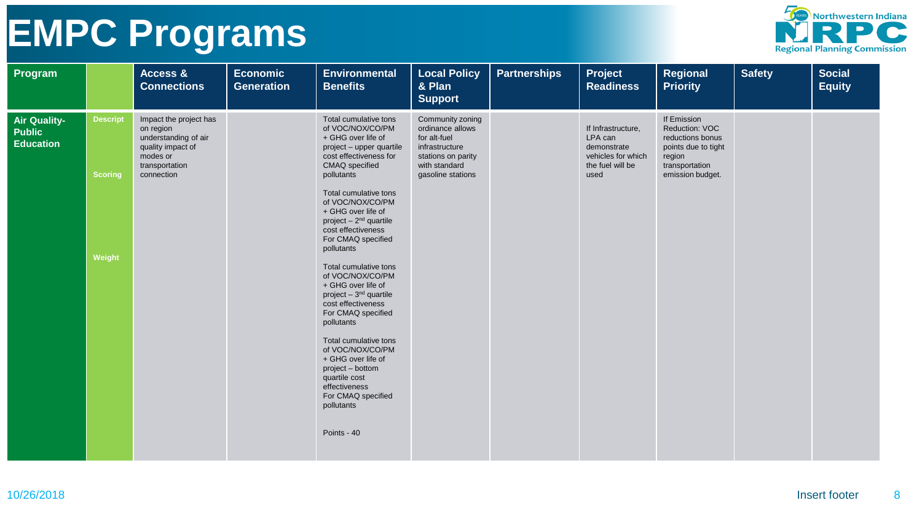

| Program                                           |                                             | Access &<br><b>Connections</b>                                                                                               | <b>Economic</b><br><b>Generation</b> | <b>Environmental</b><br><b>Benefits</b>                                                                                                                                                                                                                                                                                                                                                                                                                                                                                                                                                                                                                         | <b>Local Policy</b><br>& Plan<br><b>Support</b>                                                                                    | <b>Partnerships</b> | Project<br><b>Readiness</b>                                                                    | <b>Regional</b><br><b>Priority</b>                                                                                       | <b>Safety</b> | <b>Social</b><br><b>Equity</b> |
|---------------------------------------------------|---------------------------------------------|------------------------------------------------------------------------------------------------------------------------------|--------------------------------------|-----------------------------------------------------------------------------------------------------------------------------------------------------------------------------------------------------------------------------------------------------------------------------------------------------------------------------------------------------------------------------------------------------------------------------------------------------------------------------------------------------------------------------------------------------------------------------------------------------------------------------------------------------------------|------------------------------------------------------------------------------------------------------------------------------------|---------------------|------------------------------------------------------------------------------------------------|--------------------------------------------------------------------------------------------------------------------------|---------------|--------------------------------|
| Air Quality-<br><b>Public</b><br><b>Education</b> | <b>Descript</b><br><b>Scoring</b><br>Weight | Impact the project has<br>on region<br>understanding of air<br>quality impact of<br>modes or<br>transportation<br>connection |                                      | Total cumulative tons<br>of VOC/NOX/CO/PM<br>+ GHG over life of<br>project - upper quartile<br>cost effectiveness for<br>CMAQ specified<br>pollutants<br>Total cumulative tons<br>of VOC/NOX/CO/PM<br>+ GHG over life of<br>project $-2^{nd}$ quartile<br>cost effectiveness<br>For CMAQ specified<br>pollutants<br>Total cumulative tons<br>of VOC/NOX/CO/PM<br>+ GHG over life of<br>project - 3 <sup>nd</sup> quartile<br>cost effectiveness<br>For CMAQ specified<br>pollutants<br>Total cumulative tons<br>of VOC/NOX/CO/PM<br>+ GHG over life of<br>project - bottom<br>quartile cost<br>effectiveness<br>For CMAQ specified<br>pollutants<br>Points - 40 | Community zoning<br>ordinance allows<br>for alt-fuel<br>infrastructure<br>stations on parity<br>with standard<br>gasoline stations |                     | If Infrastructure,<br>LPA can<br>demonstrate<br>vehicles for which<br>the fuel will be<br>used | If Emission<br>Reduction: VOC<br>reductions bonus<br>points due to tight<br>region<br>transportation<br>emission budget. |               |                                |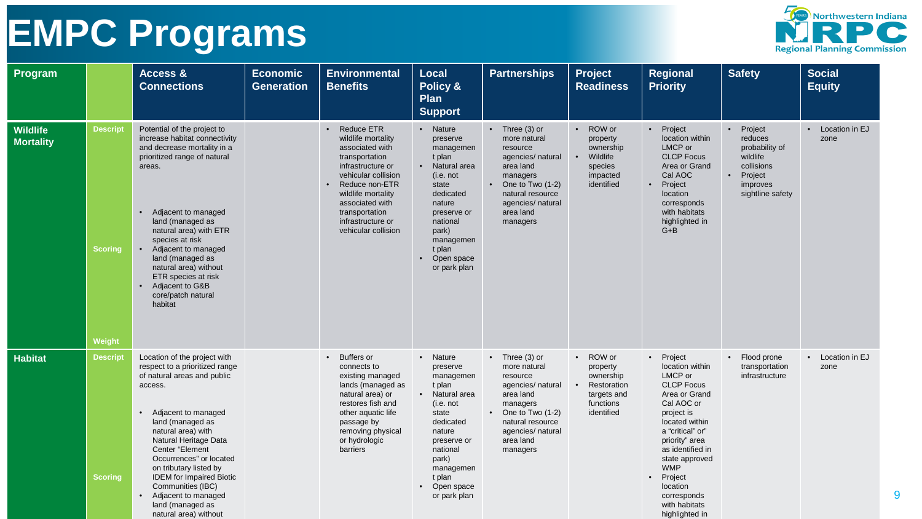

| Program                      |                                      | Access &<br><b>Connections</b>                                                                                                                                                                                                                                                                                                                                                                                        | <b>Economic</b><br>Generation | <b>Environmental</b><br><b>Benefits</b>                                                                                                                                                                                                                        | <b>Local</b><br>Policy &<br><b>Plan</b><br><b>Support</b>                                                                                                                                             | <b>Partnerships</b>                                                                                                                                                                        | Project<br><b>Readiness</b>                                                                             | Regional<br><b>Priority</b>                                                                                                                                                                                                                                                                    | <b>Safety</b>                                                                                                                       | <b>Social</b><br><b>Equity</b> |
|------------------------------|--------------------------------------|-----------------------------------------------------------------------------------------------------------------------------------------------------------------------------------------------------------------------------------------------------------------------------------------------------------------------------------------------------------------------------------------------------------------------|-------------------------------|----------------------------------------------------------------------------------------------------------------------------------------------------------------------------------------------------------------------------------------------------------------|-------------------------------------------------------------------------------------------------------------------------------------------------------------------------------------------------------|--------------------------------------------------------------------------------------------------------------------------------------------------------------------------------------------|---------------------------------------------------------------------------------------------------------|------------------------------------------------------------------------------------------------------------------------------------------------------------------------------------------------------------------------------------------------------------------------------------------------|-------------------------------------------------------------------------------------------------------------------------------------|--------------------------------|
| Wildlife<br><b>Mortality</b> | <b>Descript</b><br>Scoring<br>Weight | Potential of the project to<br>increase habitat connectivity<br>and decrease mortality in a<br>prioritized range of natural<br>areas.<br>Adjacent to managed<br>$\bullet$<br>land (managed as<br>natural area) with ETR<br>species at risk<br>Adjacent to managed<br>$\bullet$<br>land (managed as<br>natural area) without<br>ETR species at risk<br>• Adjacent to G&B<br>core/patch natural<br>habitat              |                               | <b>Reduce ETR</b><br>$\bullet$<br>wildlife mortality<br>associated with<br>transportation<br>infrastructure or<br>vehicular collision<br>Reduce non-ETR<br>wildlife mortality<br>associated with<br>transportation<br>infrastructure or<br>vehicular collision | • Nature<br>preserve<br>managemen<br>t plan<br>Natural area<br>(i.e. not)<br>state<br>dedicated<br>nature<br>preserve or<br>national<br>park)<br>managemen<br>t plan<br>Open space<br>or park plan    | $\bullet$ Three (3) or<br>more natural<br>resource<br>agencies/ natural<br>area land<br>managers<br>One to Two (1-2)<br>natural resource<br>agencies/ natural<br>area land<br>managers     | ROW or<br>$\bullet$<br>property<br>ownership<br>Wildlife<br>species<br>impacted<br>identified           | • Project<br>location within<br>LMCP or<br><b>CLCP Focus</b><br>Area or Grand<br>Cal AOC<br>Project<br>location<br>corresponds<br>with habitats<br>highlighted in<br>$G + B$                                                                                                                   | Project<br>$\bullet$<br>reduces<br>probability of<br>wildlife<br>collisions<br>Project<br>$\bullet$<br>improves<br>sightline safety | • Location in EJ<br>zone       |
| <b>Habitat</b>               | <b>Descript</b><br><b>Scoring</b>    | Location of the project with<br>respect to a prioritized range<br>of natural areas and public<br>access.<br>• Adjacent to managed<br>land (managed as<br>natural area) with<br>Natural Heritage Data<br>Center "Element<br>Occurrences" or located<br>on tributary listed by<br><b>IDEM</b> for Impaired Biotic<br>Communities (IBC)<br>Adjacent to managed<br>$\bullet$<br>land (managed as<br>natural area) without |                               | • Buffers or<br>connects to<br>existing managed<br>lands (managed as<br>natural area) or<br>restores fish and<br>other aquatic life<br>passage by<br>removing physical<br>or hydrologic<br>barriers                                                            | • Nature<br>preserve<br>managemen<br>t plan<br>• Natural area<br>(i.e. not<br>state<br>dedicated<br>nature<br>preserve or<br>national<br>park)<br>managemen<br>t plan<br>• Open space<br>or park plan | $\bullet$ Three (3) or<br>more natural<br>resource<br>agencies/ natural<br>area land<br>managers<br>• One to Two $(1-2)$<br>natural resource<br>agencies/ natural<br>area land<br>managers | • ROW or<br>property<br>ownership<br>Restoration<br>$\bullet$<br>targets and<br>functions<br>identified | • Project<br>location within<br>LMCP or<br><b>CLCP Focus</b><br>Area or Grand<br>Cal AOC or<br>project is<br>located within<br>a "critical" or"<br>priority" area<br>as identified in<br>state approved<br><b>WMP</b><br>Project<br>location<br>corresponds<br>with habitats<br>highlighted in | • Flood prone<br>transportation<br>infrastructure                                                                                   | • Location in EJ<br>zone       |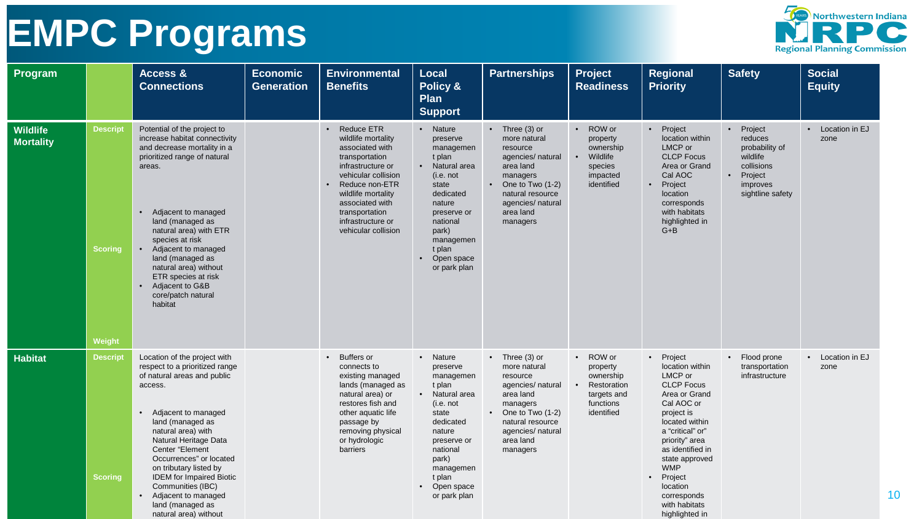

| Program                      |                                      | Access &<br><b>Connections</b>                                                                                                                                                                                                                                                                                                                                                                             | <b>Economic</b><br><b>Generation</b> | <b>Environmental</b><br><b>Benefits</b>                                                                                                                                                                                                                        | <b>Local</b><br>Policy &<br><b>Plan</b><br><b>Support</b>                                                                                                                                             | <b>Partnerships</b>                                                                                                                                                                                 | Project<br><b>Readiness</b>                                                                   | Regional<br><b>Priority</b>                                                                                                                                                                                                                                                                    | <b>Safety</b>                                                                                                                       | <b>Social</b><br><b>Equity</b> |
|------------------------------|--------------------------------------|------------------------------------------------------------------------------------------------------------------------------------------------------------------------------------------------------------------------------------------------------------------------------------------------------------------------------------------------------------------------------------------------------------|--------------------------------------|----------------------------------------------------------------------------------------------------------------------------------------------------------------------------------------------------------------------------------------------------------------|-------------------------------------------------------------------------------------------------------------------------------------------------------------------------------------------------------|-----------------------------------------------------------------------------------------------------------------------------------------------------------------------------------------------------|-----------------------------------------------------------------------------------------------|------------------------------------------------------------------------------------------------------------------------------------------------------------------------------------------------------------------------------------------------------------------------------------------------|-------------------------------------------------------------------------------------------------------------------------------------|--------------------------------|
| Wildlife<br><b>Mortality</b> | <b>Descript</b><br>Scoring<br>Weight | Potential of the project to<br>increase habitat connectivity<br>and decrease mortality in a<br>prioritized range of natural<br>areas.<br>Adjacent to managed<br>$\bullet$<br>land (managed as<br>natural area) with ETR<br>species at risk<br>Adjacent to managed<br>$\bullet$<br>land (managed as<br>natural area) without<br>ETR species at risk<br>• Adjacent to G&B<br>core/patch natural<br>habitat   |                                      | <b>Reduce ETR</b><br>$\bullet$<br>wildlife mortality<br>associated with<br>transportation<br>infrastructure or<br>vehicular collision<br>Reduce non-ETR<br>wildlife mortality<br>associated with<br>transportation<br>infrastructure or<br>vehicular collision | • Nature<br>preserve<br>managemen<br>t plan<br>Natural area<br>(i.e. not<br>state<br>dedicated<br>nature<br>preserve or<br>national<br>park)<br>managemen<br>t plan<br>Open space<br>or park plan     | $\bullet$ Three (3) or<br>more natural<br>resource<br>agencies/ natural<br>area land<br>managers<br>One to Two (1-2)<br>$\bullet$<br>natural resource<br>agencies/ natural<br>area land<br>managers | ROW or<br>$\bullet$<br>property<br>ownership<br>Wildlife<br>species<br>impacted<br>identified | • Project<br>location within<br>LMCP or<br><b>CLCP Focus</b><br>Area or Grand<br>Cal AOC<br>Project<br>location<br>corresponds<br>with habitats<br>highlighted in<br>$G + B$                                                                                                                   | Project<br>$\bullet$<br>reduces<br>probability of<br>wildlife<br>collisions<br>Project<br>$\bullet$<br>improves<br>sightline safety | • Location in EJ<br>zone       |
| <b>Habitat</b>               | <b>Descript</b><br>Scoring           | Location of the project with<br>respect to a prioritized range<br>of natural areas and public<br>access.<br>• Adjacent to managed<br>land (managed as<br>natural area) with<br>Natural Heritage Data<br>Center "Element<br>Occurrences" or located<br>on tributary listed by<br><b>IDEM</b> for Impaired Biotic<br>Communities (IBC)<br>• Adjacent to managed<br>land (managed as<br>natural area) without |                                      | <b>Buffers or</b><br>connects to<br>existing managed<br>lands (managed as<br>natural area) or<br>restores fish and<br>other aquatic life<br>passage by<br>removing physical<br>or hydrologic<br>barriers                                                       | • Nature<br>preserve<br>managemen<br>t plan<br>• Natural area<br>(i.e. not<br>state<br>dedicated<br>nature<br>preserve or<br>national<br>park)<br>managemen<br>t plan<br>• Open space<br>or park plan | $\bullet$ Three (3) or<br>more natural<br>resource<br>agencies/ natural<br>area land<br>managers<br>• One to Two $(1-2)$<br>natural resource<br>agencies/ natural<br>area land<br>managers          | • ROW or<br>property<br>ownership<br>Restoration<br>targets and<br>functions<br>identified    | • Project<br>location within<br>LMCP or<br><b>CLCP Focus</b><br>Area or Grand<br>Cal AOC or<br>project is<br>located within<br>a "critical" or"<br>priority" area<br>as identified in<br>state approved<br><b>WMP</b><br>Project<br>location<br>corresponds<br>with habitats<br>highlighted in | • Flood prone<br>transportation<br>infrastructure                                                                                   | • Location in EJ<br>zone<br>10 |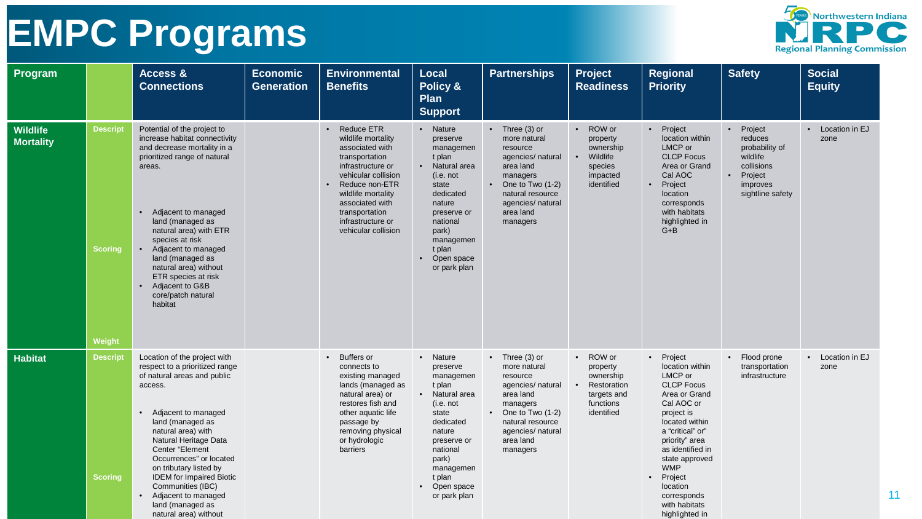

| Program                      |                                             | Access &<br><b>Connections</b>                                                                                                                                                                                                                                                                                                                                                                                        | <b>Economic</b><br><b>Generation</b> | <b>Environmental</b><br><b>Benefits</b>                                                                                                                                                                                                           | <b>Local</b><br>Policy &<br>Plan<br><b>Support</b>                                                                                                                                                    | <b>Partnerships</b>                                                                                                                                                                        | Project<br><b>Readiness</b>                                                                             | Regional<br><b>Priority</b>                                                                                                                                                                                                                                                                    | <b>Safety</b>                                                                                                                       | <b>Social</b><br><b>Equity</b> |
|------------------------------|---------------------------------------------|-----------------------------------------------------------------------------------------------------------------------------------------------------------------------------------------------------------------------------------------------------------------------------------------------------------------------------------------------------------------------------------------------------------------------|--------------------------------------|---------------------------------------------------------------------------------------------------------------------------------------------------------------------------------------------------------------------------------------------------|-------------------------------------------------------------------------------------------------------------------------------------------------------------------------------------------------------|--------------------------------------------------------------------------------------------------------------------------------------------------------------------------------------------|---------------------------------------------------------------------------------------------------------|------------------------------------------------------------------------------------------------------------------------------------------------------------------------------------------------------------------------------------------------------------------------------------------------|-------------------------------------------------------------------------------------------------------------------------------------|--------------------------------|
| Wildlife<br><b>Mortality</b> | <b>Descript</b><br><b>Scoring</b><br>Weight | Potential of the project to<br>increase habitat connectivity<br>and decrease mortality in a<br>prioritized range of natural<br>areas.<br>Adjacent to managed<br>$\bullet$<br>land (managed as<br>natural area) with ETR<br>species at risk<br>• Adjacent to managed<br>land (managed as<br>natural area) without<br>ETR species at risk<br>• Adjacent to G&B<br>core/patch natural<br>habitat                         |                                      | <b>Reduce ETR</b><br>wildlife mortality<br>associated with<br>transportation<br>infrastructure or<br>vehicular collision<br>Reduce non-ETR<br>wildlife mortality<br>associated with<br>transportation<br>infrastructure or<br>vehicular collision | • Nature<br>preserve<br>managemen<br>t plan<br>Natural area<br>(i.e. not<br>state<br>dedicated<br>nature<br>preserve or<br>national<br>park)<br>managemen<br>t plan<br>Open space<br>or park plan     | $\bullet$ Three (3) or<br>more natural<br>resource<br>agencies/ natural<br>area land<br>managers<br>• One to Two $(1-2)$<br>natural resource<br>agencies/ natural<br>area land<br>managers | ROW or<br>$\bullet$<br>property<br>ownership<br>Wildlife<br>species<br>impacted<br>identified           | • Project<br>location within<br>LMCP or<br><b>CLCP Focus</b><br>Area or Grand<br>Cal AOC<br>Project<br>location<br>corresponds<br>with habitats<br>highlighted in<br>$G + B$                                                                                                                   | Project<br>$\bullet$<br>reduces<br>probability of<br>wildlife<br>collisions<br>Project<br>$\bullet$<br>improves<br>sightline safety | • Location in EJ<br>zone       |
| <b>Habitat</b>               | <b>Descript</b><br><b>Scoring</b>           | Location of the project with<br>respect to a prioritized range<br>of natural areas and public<br>access.<br>• Adjacent to managed<br>land (managed as<br>natural area) with<br>Natural Heritage Data<br>Center "Element<br>Occurrences" or located<br>on tributary listed by<br><b>IDEM</b> for Impaired Biotic<br>Communities (IBC)<br>Adjacent to managed<br>$\bullet$<br>land (managed as<br>natural area) without |                                      | • Buffers or<br>connects to<br>existing managed<br>lands (managed as<br>natural area) or<br>restores fish and<br>other aquatic life<br>passage by<br>removing physical<br>or hydrologic<br>barriers                                               | • Nature<br>preserve<br>managemen<br>t plan<br>• Natural area<br>(i.e. not<br>state<br>dedicated<br>nature<br>preserve or<br>national<br>park)<br>managemen<br>t plan<br>• Open space<br>or park plan | $\bullet$ Three (3) or<br>more natural<br>resource<br>agencies/ natural<br>area land<br>managers<br>• One to Two $(1-2)$<br>natural resource<br>agencies/ natural<br>area land<br>managers | • ROW or<br>property<br>ownership<br>Restoration<br>$\bullet$<br>targets and<br>functions<br>identified | • Project<br>location within<br>LMCP or<br><b>CLCP Focus</b><br>Area or Grand<br>Cal AOC or<br>project is<br>located within<br>a "critical" or"<br>priority" area<br>as identified in<br>state approved<br><b>WMP</b><br>Project<br>location<br>corresponds<br>with habitats<br>highlighted in | • Flood prone<br>transportation<br>infrastructure                                                                                   | • Location in EJ<br>zone<br>11 |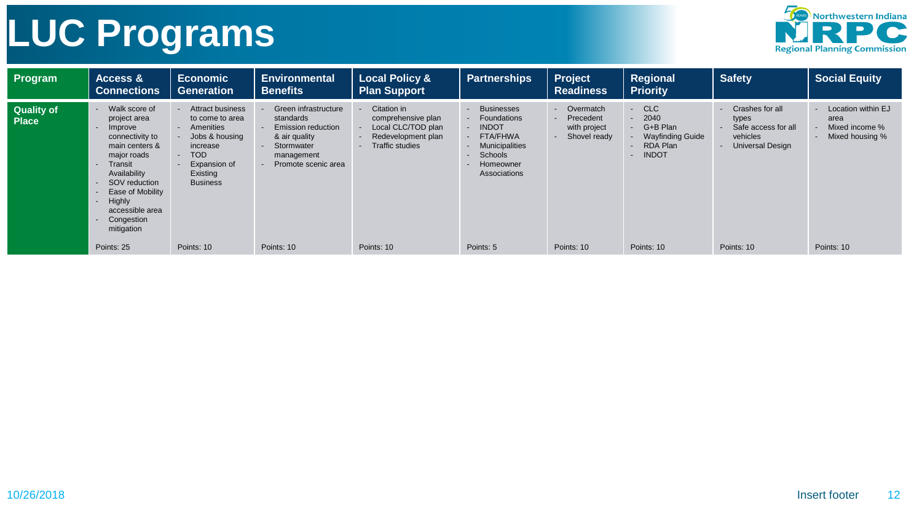# **LUC Programs**



| Program                           | <b>Access &amp;</b><br><b>Connections</b>                                                                                                                                                                                                                                                                                                               | <b>Economic</b><br>Generation                                                                                                                                | <b>Environmental</b><br><b>Benefits</b>                                                                                            | <b>Local Policy &amp;</b><br><b>Plan Support</b>                                                        | <b>Partnerships</b>                                                                                                           | Project<br><b>Readiness</b>                              | Regional<br><b>Priority</b>                                                                                                         | Safety                                                                                 | <b>Social Equity</b>                                            |
|-----------------------------------|---------------------------------------------------------------------------------------------------------------------------------------------------------------------------------------------------------------------------------------------------------------------------------------------------------------------------------------------------------|--------------------------------------------------------------------------------------------------------------------------------------------------------------|------------------------------------------------------------------------------------------------------------------------------------|---------------------------------------------------------------------------------------------------------|-------------------------------------------------------------------------------------------------------------------------------|----------------------------------------------------------|-------------------------------------------------------------------------------------------------------------------------------------|----------------------------------------------------------------------------------------|-----------------------------------------------------------------|
| <b>Quality of</b><br><b>Place</b> | Walk score of<br>$\blacksquare$<br>project area<br>Improve<br>$\overline{\phantom{a}}$<br>connectivity to<br>main centers &<br>major roads<br>Transit<br>$\overline{\phantom{a}}$<br>Availability<br>SOV reduction<br>$\sim$<br>Ease of Mobility<br>$\sim$<br>Highly<br>$\blacksquare$<br>accessible area<br>Congestion<br>$\blacksquare$<br>mitigation | <b>Attract business</b><br>to come to area<br>Amenities<br>Jobs & housing<br>increase<br><b>TOD</b><br>$\sim$<br>Expansion of<br>Existing<br><b>Business</b> | Green infrastructure<br>standards<br><b>Emission reduction</b><br>& air quality<br>Stormwater<br>management<br>Promote scenic area | Citation in<br>comprehensive plan<br>Local CLC/TOD plan<br>Redevelopment plan<br><b>Traffic studies</b> | <b>Businesses</b><br>Foundations<br><b>INDOT</b><br>FTA/FHWA<br>Municipalities<br>Schools<br><b>Homeowner</b><br>Associations | Overmatch<br>Precedent<br>with project<br>- Shovel ready | <b>CLC</b><br>$\blacksquare$<br>2040<br>$\sim$<br>G+B Plan<br>$\sim$<br>Wayfinding Guide<br>RDA Plan<br>$\sim$<br><b>INDOT</b><br>۰ | Crashes for all<br>types<br>Safe access for all<br>vehicles<br><b>Universal Design</b> | Location within EJ<br>area<br>Mixed income %<br>Mixed housing % |
|                                   | Points: 25                                                                                                                                                                                                                                                                                                                                              | Points: 10                                                                                                                                                   | Points: 10                                                                                                                         | Points: 10                                                                                              | Points: 5                                                                                                                     | Points: 10                                               | Points: 10                                                                                                                          | Points: 10                                                                             | Points: 10                                                      |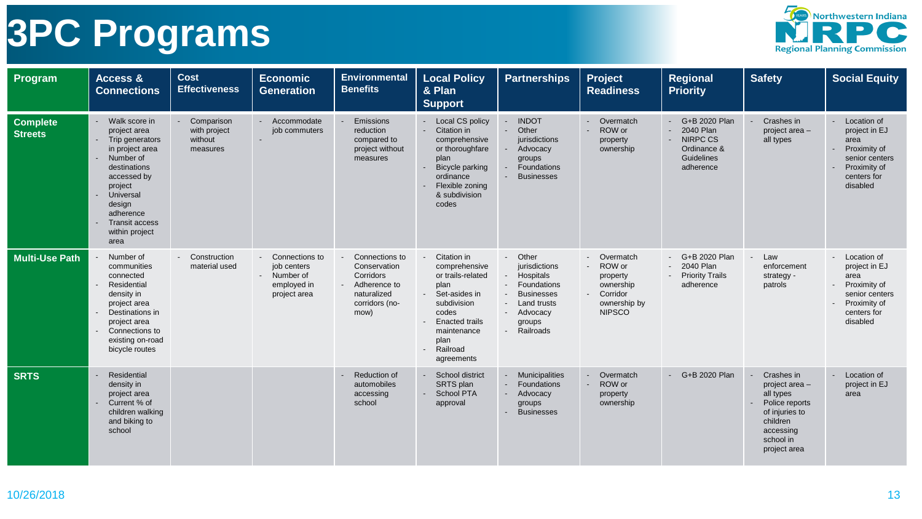

| Program                           | Access &<br><b>Connections</b>                                                                                                                                                                                                                        | <b>Cost</b><br><b>Effectiveness</b>               | <b>Economic</b><br><b>Generation</b>                                        | <b>Environmental</b><br><b>Benefits</b>                                                              | <b>Local Policy</b><br>& Plan<br><b>Support</b>                                                                                                                                        | <b>Partnerships</b>                                                                                                                                                                                                           | Project<br><b>Readiness</b>                                                                                     | Regional<br><b>Priority</b>                                                        | <b>Safety</b>                                                                                                                       | <b>Social Equity</b>                                                                                                |
|-----------------------------------|-------------------------------------------------------------------------------------------------------------------------------------------------------------------------------------------------------------------------------------------------------|---------------------------------------------------|-----------------------------------------------------------------------------|------------------------------------------------------------------------------------------------------|----------------------------------------------------------------------------------------------------------------------------------------------------------------------------------------|-------------------------------------------------------------------------------------------------------------------------------------------------------------------------------------------------------------------------------|-----------------------------------------------------------------------------------------------------------------|------------------------------------------------------------------------------------|-------------------------------------------------------------------------------------------------------------------------------------|---------------------------------------------------------------------------------------------------------------------|
| <b>Complete</b><br><b>Streets</b> | Walk score in<br>project area<br>Trip generators<br>in project area<br>Number of<br>$\blacksquare$<br>destinations<br>accessed by<br>project<br>Universal<br>design<br>adherence<br><b>Transit access</b><br>$\blacksquare$<br>within project<br>area | Comparison<br>with project<br>without<br>measures | - Accommodate<br>job commuters                                              | Emissions<br>reduction<br>compared to<br>project without<br>measures                                 | <b>Local CS policy</b><br>Citation in<br>comprehensive<br>or thoroughfare<br>plan<br>Bicycle parking<br>ordinance<br>Flexible zoning<br>& subdivision<br>codes                         | <b>INDOT</b><br>Other<br>$\blacksquare$<br>jurisdictions<br>Advocacy<br>groups<br>Foundations<br>$\blacksquare$<br><b>Businesses</b>                                                                                          | Overmatch<br>ROW or<br>property<br>ownership                                                                    | G+B 2020 Plan<br>2040 Plan<br>- NIRPC CS<br>Ordinance &<br>Guidelines<br>adherence | Crashes in<br>project area -<br>all types                                                                                           | Location of<br>project in EJ<br>area<br>Proximity of<br>senior centers<br>Proximity of<br>centers for<br>disabled   |
| <b>Multi-Use Path</b>             | Number of<br>communities<br>connected<br>Residential<br>density in<br>project area<br>Destinations in<br>project area<br>Connections to<br>$\blacksquare$<br>existing on-road<br>bicycle routes                                                       | - Construction<br>material used                   | Connections to<br>job centers<br>- Number of<br>employed in<br>project area | Connections to<br>Conservation<br>Corridors<br>Adherence to<br>naturalized<br>corridors (no-<br>mow) | Citation in<br>comprehensive<br>or trails-related<br>plan<br>Set-asides in<br>subdivision<br>codes<br><b>Enacted trails</b><br>maintenance<br>plan<br>Railroad<br>$\sim$<br>agreements | Other<br>$\blacksquare$<br>jurisdictions<br>Hospitals<br>$\sim$<br>Foundations<br>$\blacksquare$<br><b>Businesses</b><br>$\blacksquare$<br>Land trusts<br>Advocacy<br>$\blacksquare$<br>groups<br>Railroads<br>$\blacksquare$ | Overmatch<br>$\sim$<br>- ROW or<br>property<br>ownership<br>Corridor<br>$\sim$<br>ownership by<br><b>NIPSCO</b> | G+B 2020 Plan<br>- 2040 Plan<br><b>Priority Trails</b><br>adherence                | Law<br>enforcement<br>strategy -<br>patrols                                                                                         | - Location of<br>project in EJ<br>area<br>Proximity of<br>senior centers<br>Proximity of<br>centers for<br>disabled |
| <b>SRTS</b>                       | Residential<br>density in<br>project area<br>Current % of<br>children walking<br>and biking to<br>school                                                                                                                                              |                                                   |                                                                             | <b>Reduction of</b><br>automobiles<br>accessing<br>school                                            | School district<br>SRTS plan<br><b>School PTA</b><br>approval                                                                                                                          | Municipalities<br>$\blacksquare$<br>Foundations<br>$\overline{a}$<br>Advocacy<br>$\blacksquare$<br>groups<br><b>Businesses</b>                                                                                                | Overmatch<br>$\sim$<br>ROW or<br>$\mathbf{r}$<br>property<br>ownership                                          | G+B 2020 Plan                                                                      | Crashes in<br>project area -<br>all types<br>Police reports<br>of injuries to<br>children<br>accessing<br>school in<br>project area | Location of<br>project in EJ<br>area                                                                                |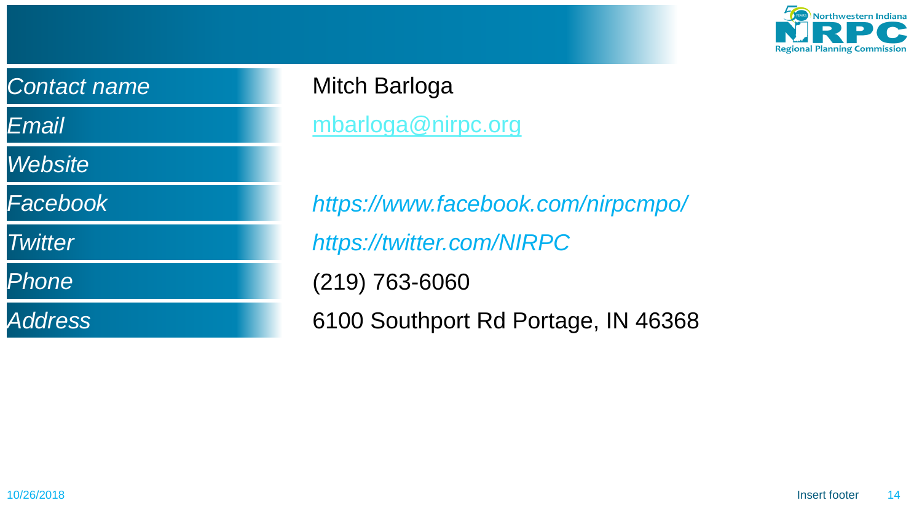

| <b>Contact name</b> |  |
|---------------------|--|
| Email               |  |
| <b>Website</b>      |  |
| Facebook            |  |
| <b>Twitter</b>      |  |
| <i>Phone</i>        |  |
| <b>Address</b>      |  |

### Mitch Barloga

[mbarloga@nirpc.org](mailto:mbarloga@nirpc.org)

*https://www.facebook.com/nirpcmpo/*

*https://twitter.com/NIRPC*

(219) 763-6060

6100 Southport Rd Portage, IN 46368